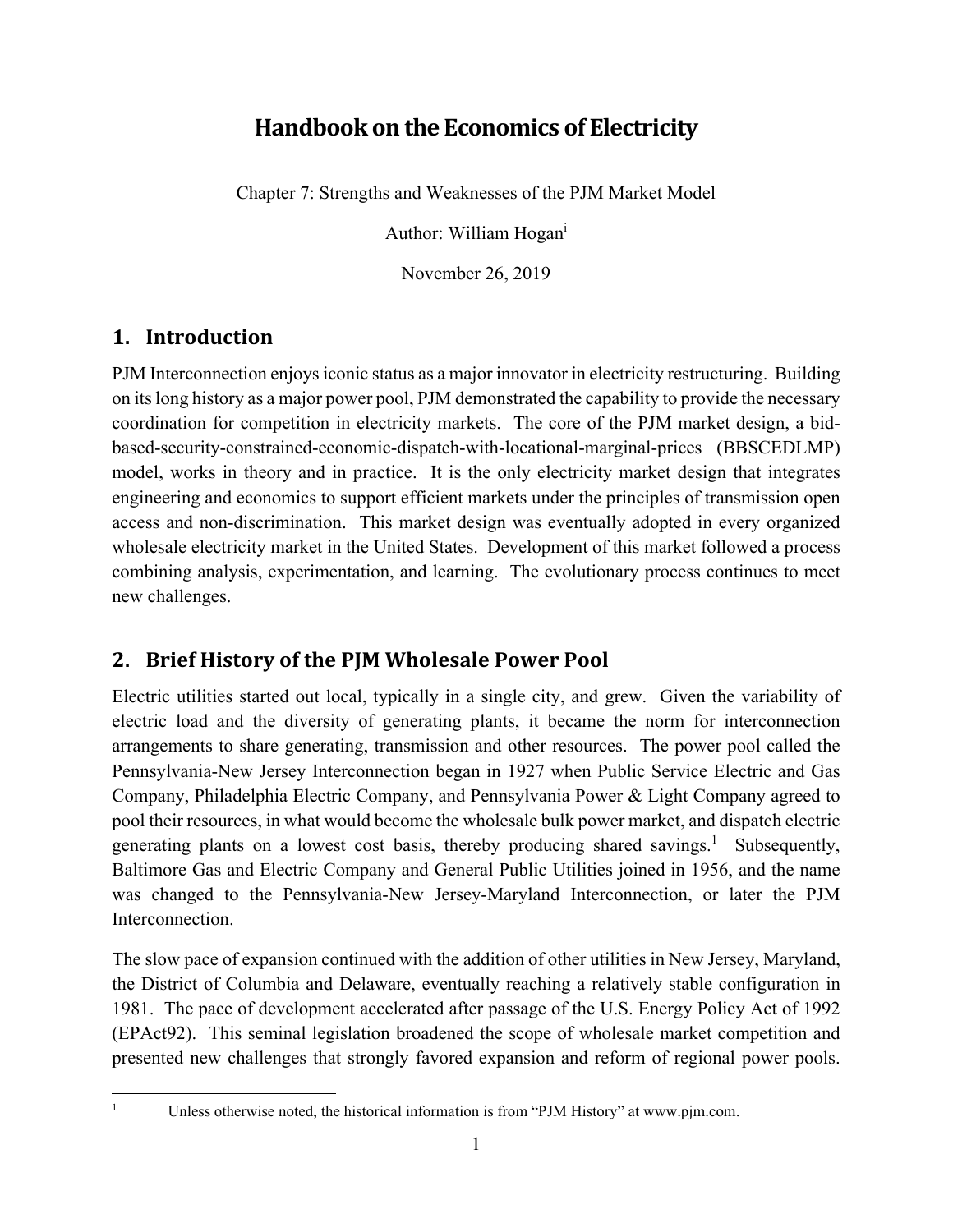# **Handbook on the Economics of Electricity**

Chapter 7: Strengths and Weaknesses of the PJM Market Model

Author: William Hogani

November 26, 2019

# **1. Introduction**

PJM Interconnection enjoys iconic status as a major innovator in electricity restructuring. Building on its long history as a major power pool, PJM demonstrated the capability to provide the necessary coordination for competition in electricity markets. The core of the PJM market design, a bidbased-security-constrained-economic-dispatch-with-locational-marginal-prices (BBSCEDLMP) model, works in theory and in practice. It is the only electricity market design that integrates engineering and economics to support efficient markets under the principles of transmission open access and non-discrimination. This market design was eventually adopted in every organized wholesale electricity market in the United States. Development of this market followed a process combining analysis, experimentation, and learning. The evolutionary process continues to meet new challenges.

# **2. Brief History of the PJM Wholesale Power Pool**

Electric utilities started out local, typically in a single city, and grew. Given the variability of electric load and the diversity of generating plants, it became the norm for interconnection arrangements to share generating, transmission and other resources. The power pool called the Pennsylvania-New Jersey Interconnection began in 1927 when Public Service Electric and Gas Company, Philadelphia Electric Company, and Pennsylvania Power & Light Company agreed to pool their resources, in what would become the wholesale bulk power market, and dispatch electric generating plants on a lowest cost basis, thereby producing shared savings.<sup>1</sup> Subsequently, Baltimore Gas and Electric Company and General Public Utilities joined in 1956, and the name was changed to the Pennsylvania-New Jersey-Maryland Interconnection, or later the PJM Interconnection.

The slow pace of expansion continued with the addition of other utilities in New Jersey, Maryland, the District of Columbia and Delaware, eventually reaching a relatively stable configuration in 1981. The pace of development accelerated after passage of the U.S. Energy Policy Act of 1992 (EPAct92). This seminal legislation broadened the scope of wholesale market competition and presented new challenges that strongly favored expansion and reform of regional power pools.

1

Unless otherwise noted, the historical information is from "PJM History" at www.pjm.com.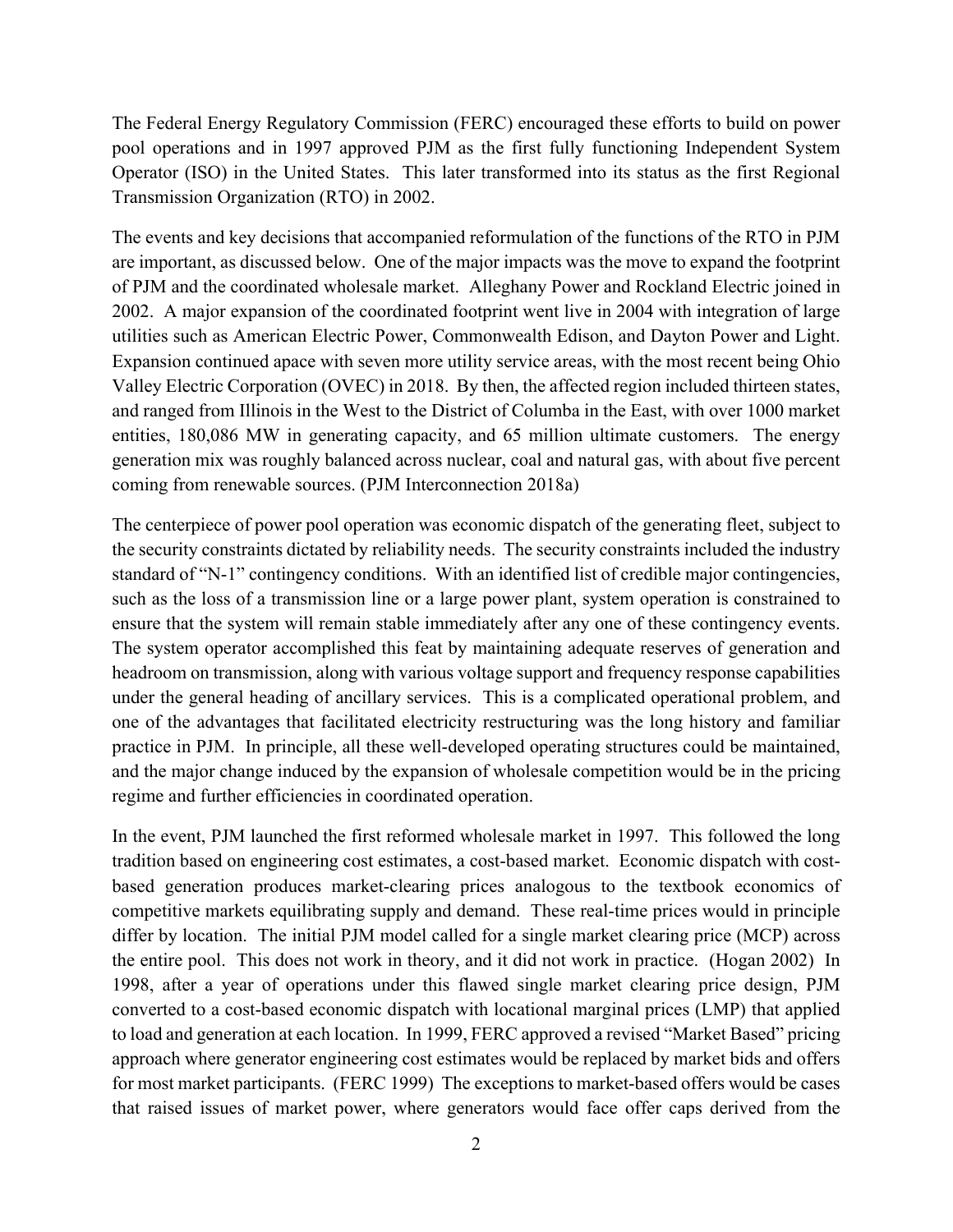The Federal Energy Regulatory Commission (FERC) encouraged these efforts to build on power pool operations and in 1997 approved PJM as the first fully functioning Independent System Operator (ISO) in the United States. This later transformed into its status as the first Regional Transmission Organization (RTO) in 2002.

The events and key decisions that accompanied reformulation of the functions of the RTO in PJM are important, as discussed below. One of the major impacts was the move to expand the footprint of PJM and the coordinated wholesale market. Alleghany Power and Rockland Electric joined in 2002. A major expansion of the coordinated footprint went live in 2004 with integration of large utilities such as American Electric Power, Commonwealth Edison, and Dayton Power and Light. Expansion continued apace with seven more utility service areas, with the most recent being Ohio Valley Electric Corporation (OVEC) in 2018. By then, the affected region included thirteen states, and ranged from Illinois in the West to the District of Columba in the East, with over 1000 market entities, 180,086 MW in generating capacity, and 65 million ultimate customers. The energy generation mix was roughly balanced across nuclear, coal and natural gas, with about five percent coming from renewable sources. (PJM Interconnection 2018a)

The centerpiece of power pool operation was economic dispatch of the generating fleet, subject to the security constraints dictated by reliability needs. The security constraints included the industry standard of "N-1" contingency conditions. With an identified list of credible major contingencies, such as the loss of a transmission line or a large power plant, system operation is constrained to ensure that the system will remain stable immediately after any one of these contingency events. The system operator accomplished this feat by maintaining adequate reserves of generation and headroom on transmission, along with various voltage support and frequency response capabilities under the general heading of ancillary services. This is a complicated operational problem, and one of the advantages that facilitated electricity restructuring was the long history and familiar practice in PJM. In principle, all these well-developed operating structures could be maintained, and the major change induced by the expansion of wholesale competition would be in the pricing regime and further efficiencies in coordinated operation.

In the event, PJM launched the first reformed wholesale market in 1997. This followed the long tradition based on engineering cost estimates, a cost-based market. Economic dispatch with costbased generation produces market-clearing prices analogous to the textbook economics of competitive markets equilibrating supply and demand. These real-time prices would in principle differ by location. The initial PJM model called for a single market clearing price (MCP) across the entire pool. This does not work in theory, and it did not work in practice. (Hogan 2002) In 1998, after a year of operations under this flawed single market clearing price design, PJM converted to a cost-based economic dispatch with locational marginal prices (LMP) that applied to load and generation at each location. In 1999, FERC approved a revised "Market Based" pricing approach where generator engineering cost estimates would be replaced by market bids and offers for most market participants. (FERC 1999) The exceptions to market-based offers would be cases that raised issues of market power, where generators would face offer caps derived from the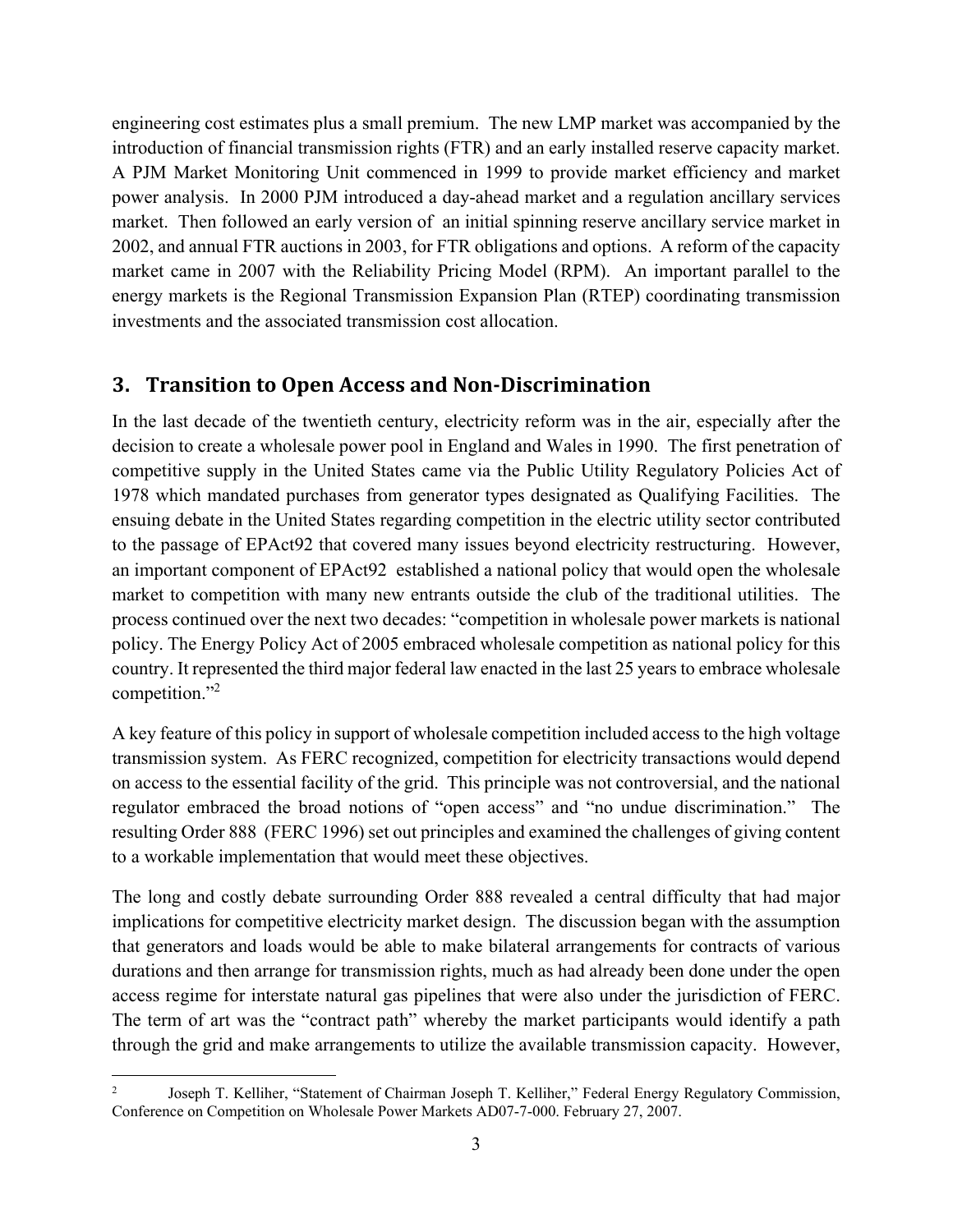engineering cost estimates plus a small premium. The new LMP market was accompanied by the introduction of financial transmission rights (FTR) and an early installed reserve capacity market. A PJM Market Monitoring Unit commenced in 1999 to provide market efficiency and market power analysis. In 2000 PJM introduced a day-ahead market and a regulation ancillary services market. Then followed an early version of an initial spinning reserve ancillary service market in 2002, and annual FTR auctions in 2003, for FTR obligations and options. A reform of the capacity market came in 2007 with the Reliability Pricing Model (RPM). An important parallel to the energy markets is the Regional Transmission Expansion Plan (RTEP) coordinating transmission investments and the associated transmission cost allocation.

### **3. Transition to Open Access and Non‐Discrimination**

In the last decade of the twentieth century, electricity reform was in the air, especially after the decision to create a wholesale power pool in England and Wales in 1990. The first penetration of competitive supply in the United States came via the Public Utility Regulatory Policies Act of 1978 which mandated purchases from generator types designated as Qualifying Facilities. The ensuing debate in the United States regarding competition in the electric utility sector contributed to the passage of EPAct92 that covered many issues beyond electricity restructuring. However, an important component of EPAct92 established a national policy that would open the wholesale market to competition with many new entrants outside the club of the traditional utilities. The process continued over the next two decades: "competition in wholesale power markets is national policy. The Energy Policy Act of 2005 embraced wholesale competition as national policy for this country. It represented the third major federal law enacted in the last 25 years to embrace wholesale competition."<sup>2</sup>

A key feature of this policy in support of wholesale competition included access to the high voltage transmission system. As FERC recognized, competition for electricity transactions would depend on access to the essential facility of the grid. This principle was not controversial, and the national regulator embraced the broad notions of "open access" and "no undue discrimination." The resulting Order 888 (FERC 1996) set out principles and examined the challenges of giving content to a workable implementation that would meet these objectives.

The long and costly debate surrounding Order 888 revealed a central difficulty that had major implications for competitive electricity market design. The discussion began with the assumption that generators and loads would be able to make bilateral arrangements for contracts of various durations and then arrange for transmission rights, much as had already been done under the open access regime for interstate natural gas pipelines that were also under the jurisdiction of FERC. The term of art was the "contract path" whereby the market participants would identify a path through the grid and make arrangements to utilize the available transmission capacity. However,

<sup>2</sup> Joseph T. Kelliher, "Statement of Chairman Joseph T. Kelliher," Federal Energy Regulatory Commission, Conference on Competition on Wholesale Power Markets AD07-7-000. February 27, 2007.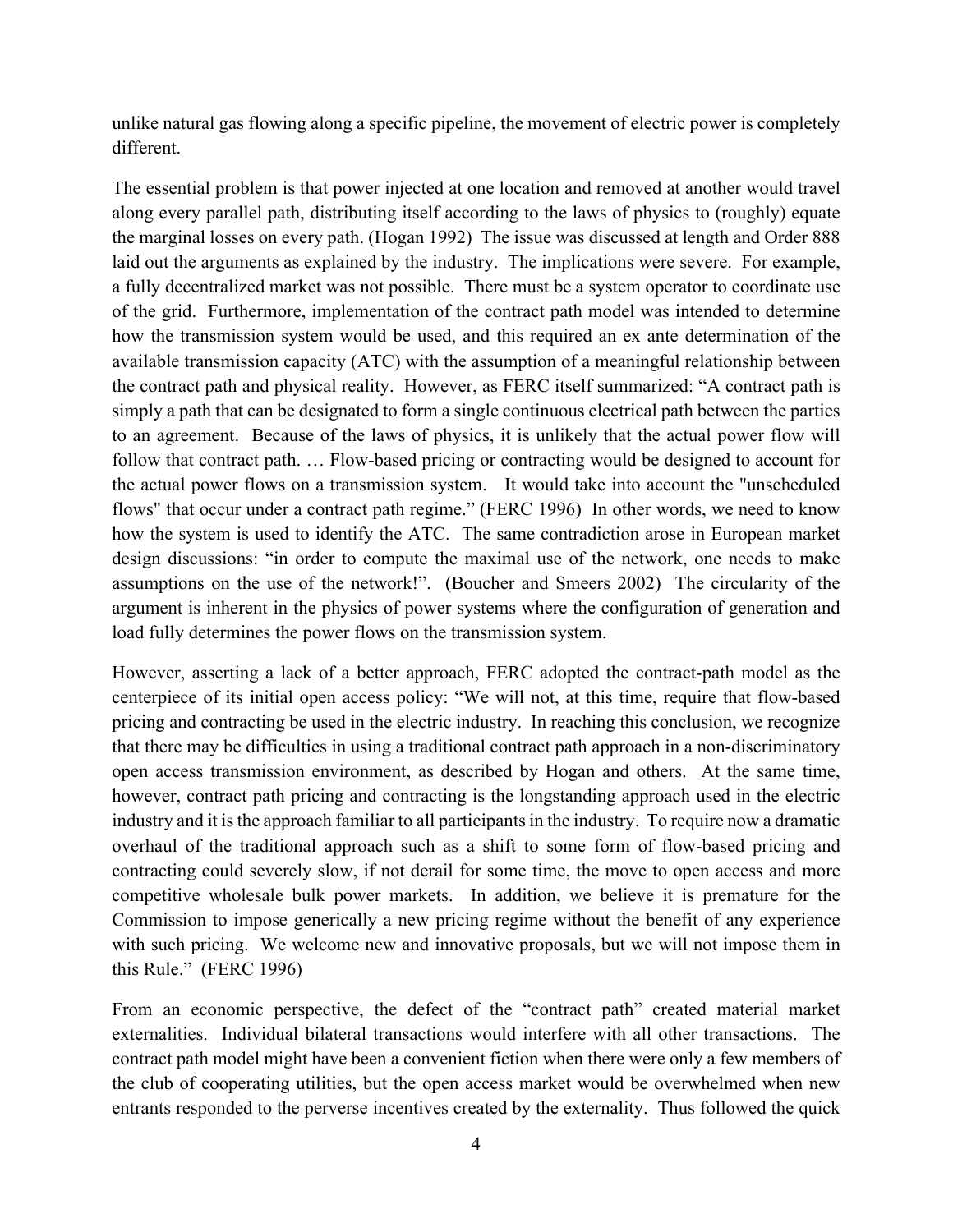unlike natural gas flowing along a specific pipeline, the movement of electric power is completely different.

The essential problem is that power injected at one location and removed at another would travel along every parallel path, distributing itself according to the laws of physics to (roughly) equate the marginal losses on every path. (Hogan 1992) The issue was discussed at length and Order 888 laid out the arguments as explained by the industry. The implications were severe. For example, a fully decentralized market was not possible. There must be a system operator to coordinate use of the grid. Furthermore, implementation of the contract path model was intended to determine how the transmission system would be used, and this required an ex ante determination of the available transmission capacity (ATC) with the assumption of a meaningful relationship between the contract path and physical reality. However, as FERC itself summarized: "A contract path is simply a path that can be designated to form a single continuous electrical path between the parties to an agreement. Because of the laws of physics, it is unlikely that the actual power flow will follow that contract path. ... Flow-based pricing or contracting would be designed to account for the actual power flows on a transmission system. It would take into account the "unscheduled flows" that occur under a contract path regime." (FERC 1996) In other words, we need to know how the system is used to identify the ATC. The same contradiction arose in European market design discussions: "in order to compute the maximal use of the network, one needs to make assumptions on the use of the network!". (Boucher and Smeers 2002) The circularity of the argument is inherent in the physics of power systems where the configuration of generation and load fully determines the power flows on the transmission system.

However, asserting a lack of a better approach, FERC adopted the contract-path model as the centerpiece of its initial open access policy: "We will not, at this time, require that flow-based pricing and contracting be used in the electric industry. In reaching this conclusion, we recognize that there may be difficulties in using a traditional contract path approach in a non-discriminatory open access transmission environment, as described by Hogan and others. At the same time, however, contract path pricing and contracting is the longstanding approach used in the electric industry and it is the approach familiar to all participants in the industry. To require now a dramatic overhaul of the traditional approach such as a shift to some form of flow-based pricing and contracting could severely slow, if not derail for some time, the move to open access and more competitive wholesale bulk power markets. In addition, we believe it is premature for the Commission to impose generically a new pricing regime without the benefit of any experience with such pricing. We welcome new and innovative proposals, but we will not impose them in this Rule." (FERC 1996)

From an economic perspective, the defect of the "contract path" created material market externalities. Individual bilateral transactions would interfere with all other transactions. The contract path model might have been a convenient fiction when there were only a few members of the club of cooperating utilities, but the open access market would be overwhelmed when new entrants responded to the perverse incentives created by the externality. Thus followed the quick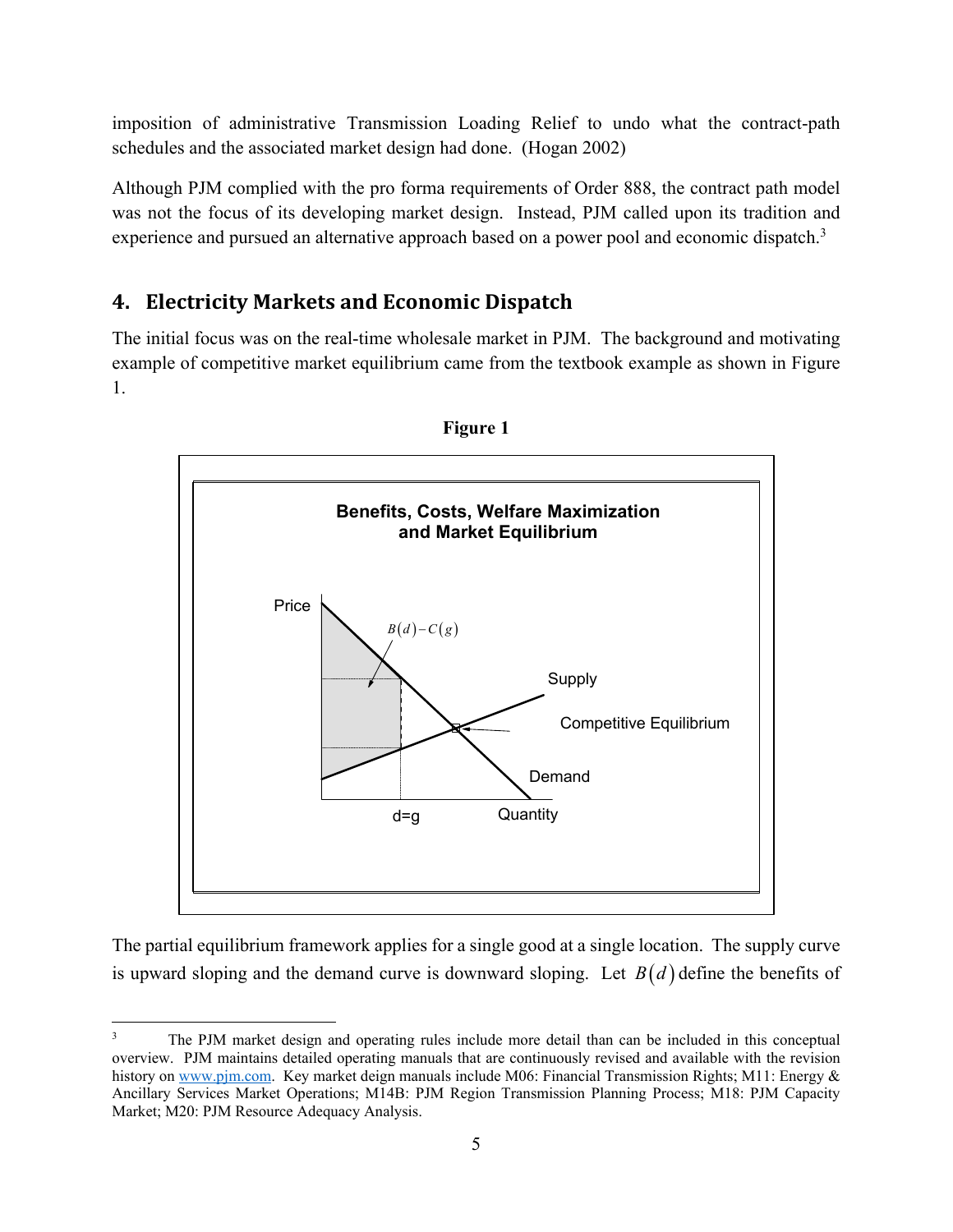imposition of administrative Transmission Loading Relief to undo what the contract-path schedules and the associated market design had done. (Hogan 2002)

Although PJM complied with the pro forma requirements of Order 888, the contract path model was not the focus of its developing market design. Instead, PJM called upon its tradition and experience and pursued an alternative approach based on a power pool and economic dispatch.<sup>3</sup>

# **4. Electricity Markets and Economic Dispatch**

The initial focus was on the real-time wholesale market in PJM. The background and motivating example of competitive market equilibrium came from the textbook example as shown in Figure 1.





The partial equilibrium framework applies for a single good at a single location. The supply curve is upward sloping and the demand curve is downward sloping. Let  $B(d)$  define the benefits of

<sup>3</sup> The PJM market design and operating rules include more detail than can be included in this conceptual overview. PJM maintains detailed operating manuals that are continuously revised and available with the revision history on www.pjm.com. Key market deign manuals include M06: Financial Transmission Rights; M11: Energy & Ancillary Services Market Operations; M14B: PJM Region Transmission Planning Process; M18: PJM Capacity Market; M20: PJM Resource Adequacy Analysis.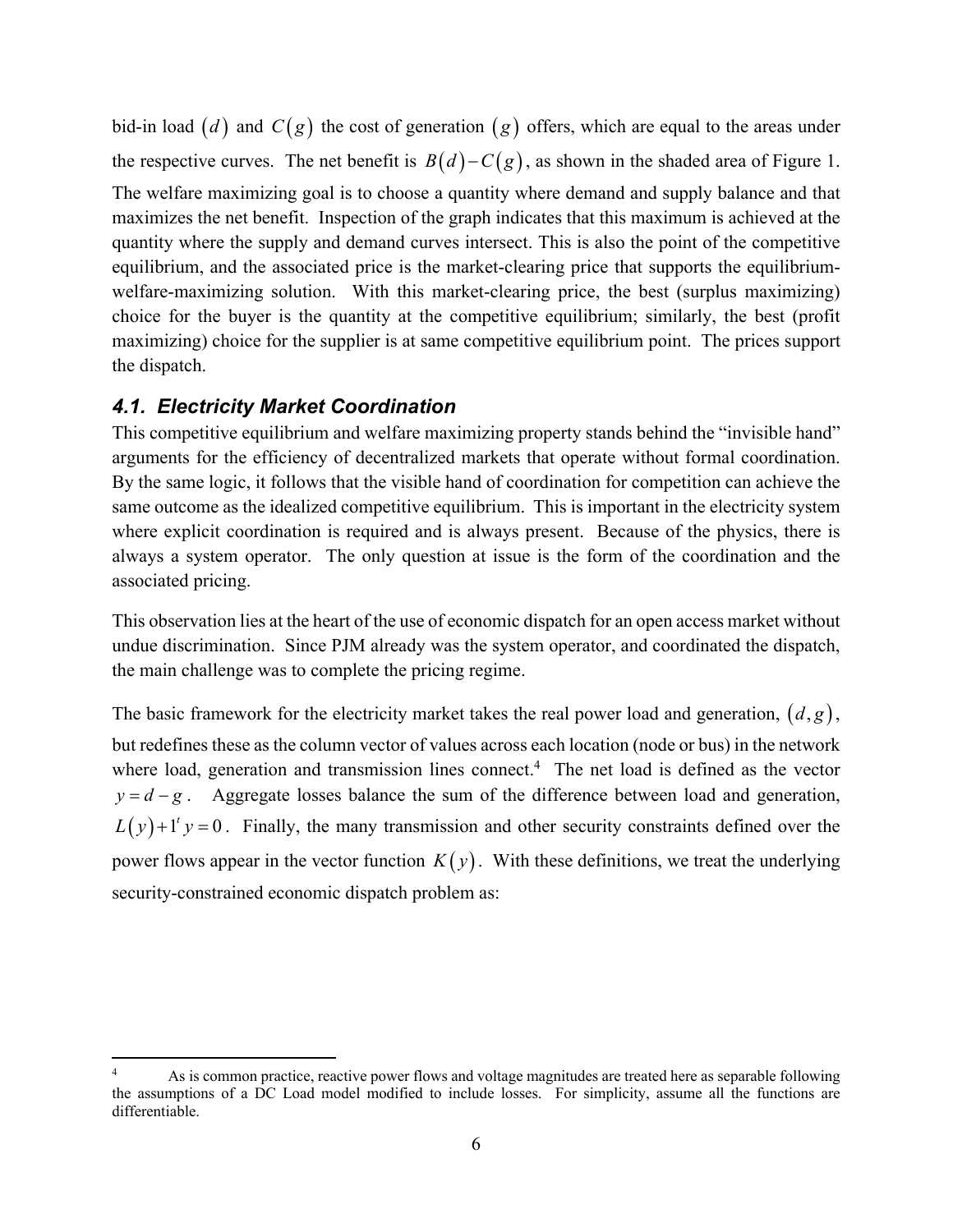bid-in load  $(d)$  and  $C(g)$  the cost of generation  $(g)$  offers, which are equal to the areas under the respective curves. The net benefit is  $B(d) - C(g)$ , as shown in the shaded area of Figure 1. The welfare maximizing goal is to choose a quantity where demand and supply balance and that maximizes the net benefit. Inspection of the graph indicates that this maximum is achieved at the quantity where the supply and demand curves intersect. This is also the point of the competitive equilibrium, and the associated price is the market-clearing price that supports the equilibriumwelfare-maximizing solution. With this market-clearing price, the best (surplus maximizing) choice for the buyer is the quantity at the competitive equilibrium; similarly, the best (profit maximizing) choice for the supplier is at same competitive equilibrium point. The prices support the dispatch.

#### *4.1. Electricity Market Coordination*

This competitive equilibrium and welfare maximizing property stands behind the "invisible hand" arguments for the efficiency of decentralized markets that operate without formal coordination. By the same logic, it follows that the visible hand of coordination for competition can achieve the same outcome as the idealized competitive equilibrium. This is important in the electricity system where explicit coordination is required and is always present. Because of the physics, there is always a system operator. The only question at issue is the form of the coordination and the associated pricing.

This observation lies at the heart of the use of economic dispatch for an open access market without undue discrimination. Since PJM already was the system operator, and coordinated the dispatch, the main challenge was to complete the pricing regime.

The basic framework for the electricity market takes the real power load and generation,  $(d, g)$ , but redefines these as the column vector of values across each location (node or bus) in the network where load, generation and transmission lines connect.<sup>4</sup> The net load is defined as the vector  $y = d - g$ . Aggregate losses balance the sum of the difference between load and generation,  $L(y) + 1<sup>t</sup> y = 0$ . Finally, the many transmission and other security constraints defined over the power flows appear in the vector function  $K(y)$ . With these definitions, we treat the underlying security-constrained economic dispatch problem as:

<sup>4</sup> As is common practice, reactive power flows and voltage magnitudes are treated here as separable following the assumptions of a DC Load model modified to include losses. For simplicity, assume all the functions are differentiable.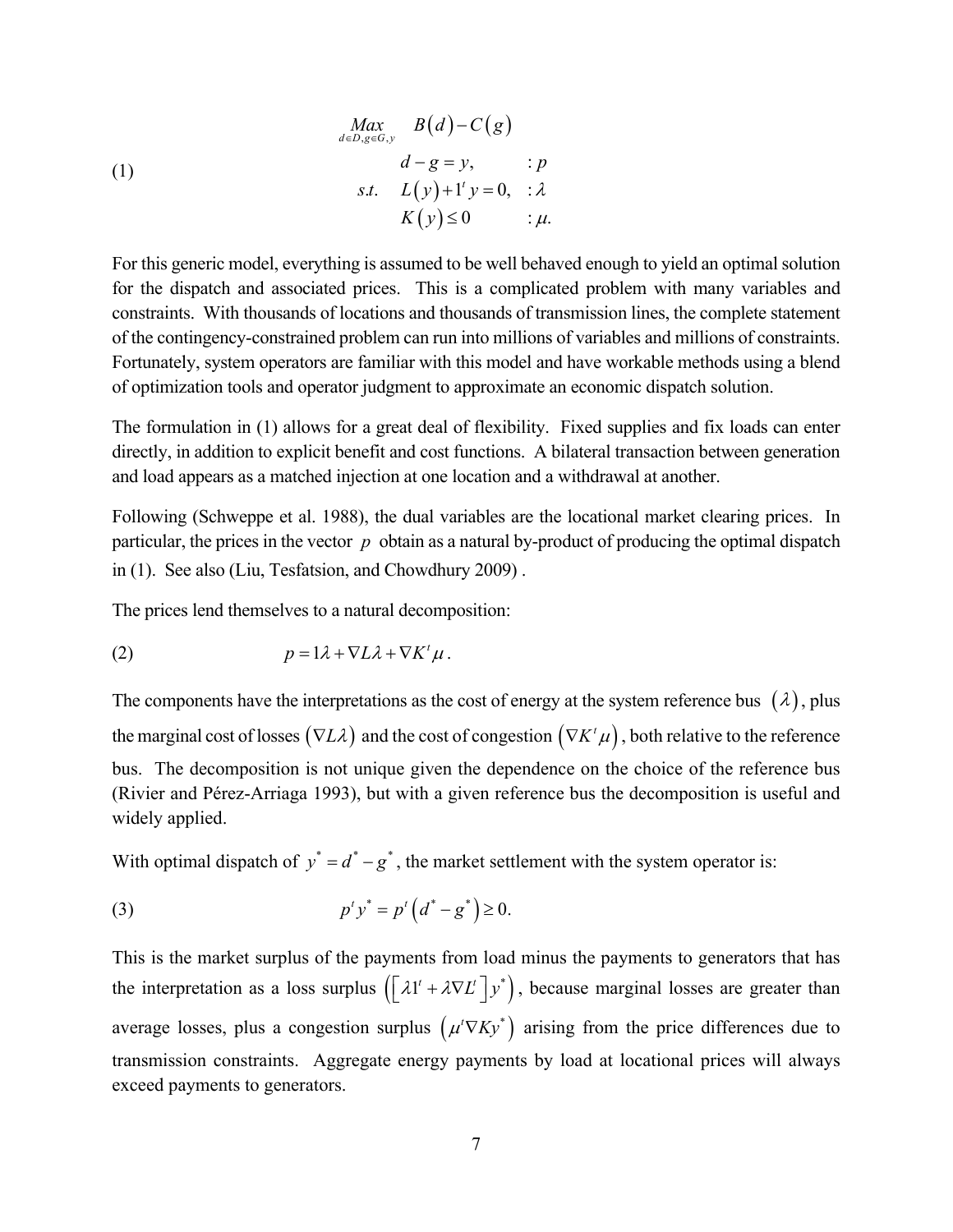(1)  
\n
$$
\begin{aligned}\n\lim_{d \in D, g \in G, y} B(d) - C(g) \\
d - g = y, &\;: p \\
s.t. &\quad L(y) + 1' y = 0, &\;: \lambda \\
K(y) \le 0 &\;: \mu.\n\end{aligned}
$$

For this generic model, everything is assumed to be well behaved enough to yield an optimal solution for the dispatch and associated prices. This is a complicated problem with many variables and constraints. With thousands of locations and thousands of transmission lines, the complete statement of the contingency-constrained problem can run into millions of variables and millions of constraints. Fortunately, system operators are familiar with this model and have workable methods using a blend of optimization tools and operator judgment to approximate an economic dispatch solution.

The formulation in (1) allows for a great deal of flexibility. Fixed supplies and fix loads can enter directly, in addition to explicit benefit and cost functions. A bilateral transaction between generation and load appears as a matched injection at one location and a withdrawal at another.

Following (Schweppe et al. 1988), the dual variables are the locational market clearing prices. In particular, the prices in the vector *p* obtain as a natural by-product of producing the optimal dispatch in (1). See also (Liu, Tesfatsion, and Chowdhury 2009) .

The prices lend themselves to a natural decomposition:

(2) 
$$
p = 1\lambda + \nabla L\lambda + \nabla K^t \mu.
$$

The components have the interpretations as the cost of energy at the system reference bus  $(\lambda)$ , plus the marginal cost of losses  $(\nabla L\lambda)$  and the cost of congestion  $(\nabla K^t\mu)$ , both relative to the reference bus. The decomposition is not unique given the dependence on the choice of the reference bus (Rivier and Pérez-Arriaga 1993), but with a given reference bus the decomposition is useful and widely applied.

With optimal dispatch of  $y^* = d^* - g^*$ , the market settlement with the system operator is:

(3) 
$$
p^t y^* = p^t (d^* - g^*) \ge 0.
$$

This is the market surplus of the payments from load minus the payments to generators that has the interpretation as a loss surplus  $([\lambda 1' + \lambda \nabla L'] y^*)$ , because marginal losses are greater than average losses, plus a congestion surplus  $(\mu^t \nabla K y^*)$  arising from the price differences due to transmission constraints. Aggregate energy payments by load at locational prices will always exceed payments to generators.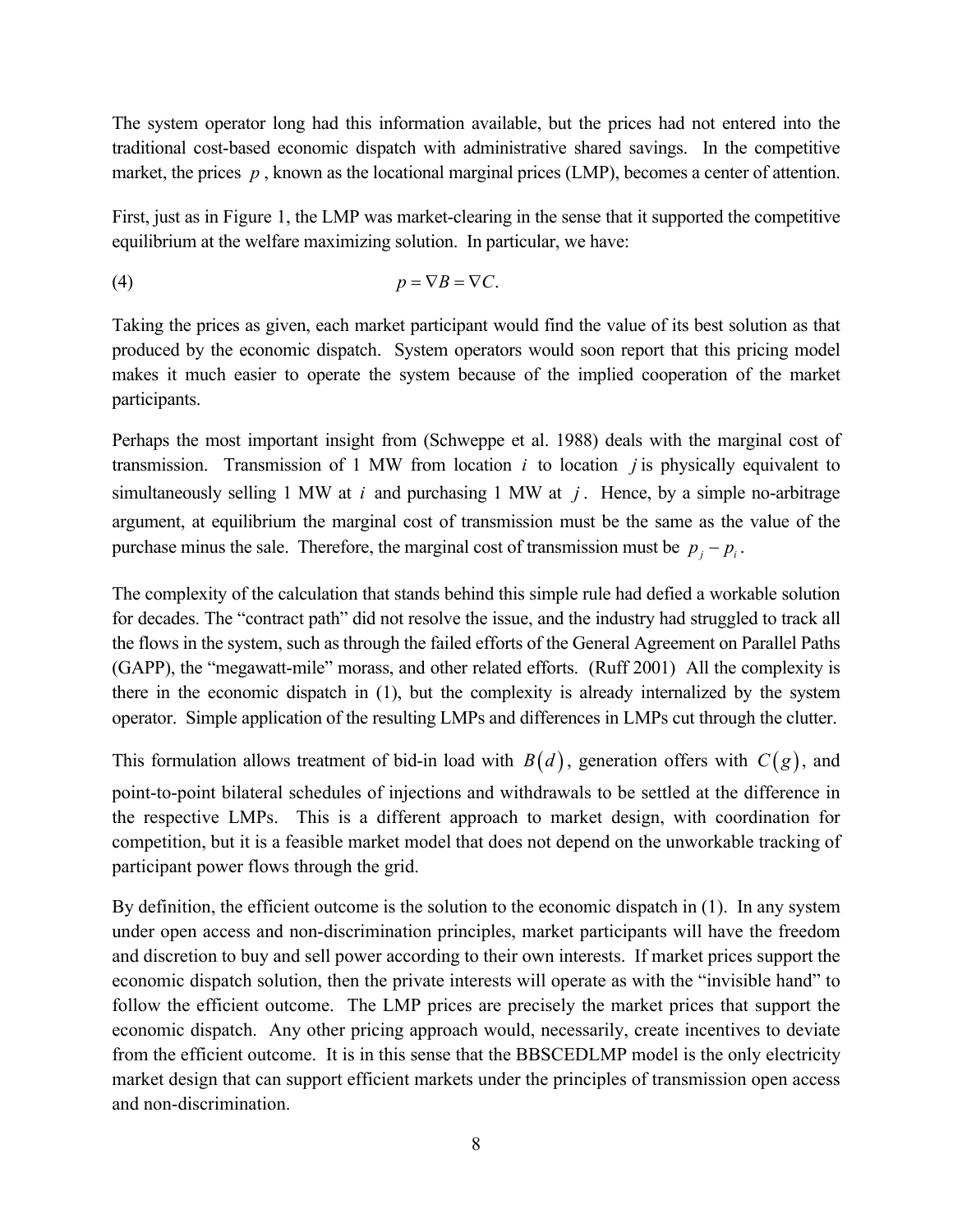The system operator long had this information available, but the prices had not entered into the traditional cost-based economic dispatch with administrative shared savings. In the competitive market, the prices p, known as the locational marginal prices (LMP), becomes a center of attention.

First, just as in Figure 1, the LMP was market-clearing in the sense that it supported the competitive equilibrium at the welfare maximizing solution. In particular, we have:

$$
(4) \t\t\t p = \nabla B = \nabla C.
$$

Taking the prices as given, each market participant would find the value of its best solution as that produced by the economic dispatch. System operators would soon report that this pricing model makes it much easier to operate the system because of the implied cooperation of the market participants.

Perhaps the most important insight from (Schweppe et al. 1988) deals with the marginal cost of transmission. Transmission of 1 MW from location *i* to location *j* is physically equivalent to simultaneously selling 1 MW at *i* and purchasing 1 MW at *j* . Hence, by a simple no-arbitrage argument, at equilibrium the marginal cost of transmission must be the same as the value of the purchase minus the sale. Therefore, the marginal cost of transmission must be  $p_i - p_i$ .

The complexity of the calculation that stands behind this simple rule had defied a workable solution for decades. The "contract path" did not resolve the issue, and the industry had struggled to track all the flows in the system, such as through the failed efforts of the General Agreement on Parallel Paths (GAPP), the "megawatt-mile" morass, and other related efforts. (Ruff 2001) All the complexity is there in the economic dispatch in (1), but the complexity is already internalized by the system operator. Simple application of the resulting LMPs and differences in LMPs cut through the clutter.

This formulation allows treatment of bid-in load with  $B(d)$ , generation offers with  $C(g)$ , and point-to-point bilateral schedules of injections and withdrawals to be settled at the difference in the respective LMPs. This is a different approach to market design, with coordination for competition, but it is a feasible market model that does not depend on the unworkable tracking of participant power flows through the grid.

By definition, the efficient outcome is the solution to the economic dispatch in (1). In any system under open access and non-discrimination principles, market participants will have the freedom and discretion to buy and sell power according to their own interests. If market prices support the economic dispatch solution, then the private interests will operate as with the "invisible hand" to follow the efficient outcome. The LMP prices are precisely the market prices that support the economic dispatch. Any other pricing approach would, necessarily, create incentives to deviate from the efficient outcome. It is in this sense that the BBSCEDLMP model is the only electricity market design that can support efficient markets under the principles of transmission open access and non-discrimination.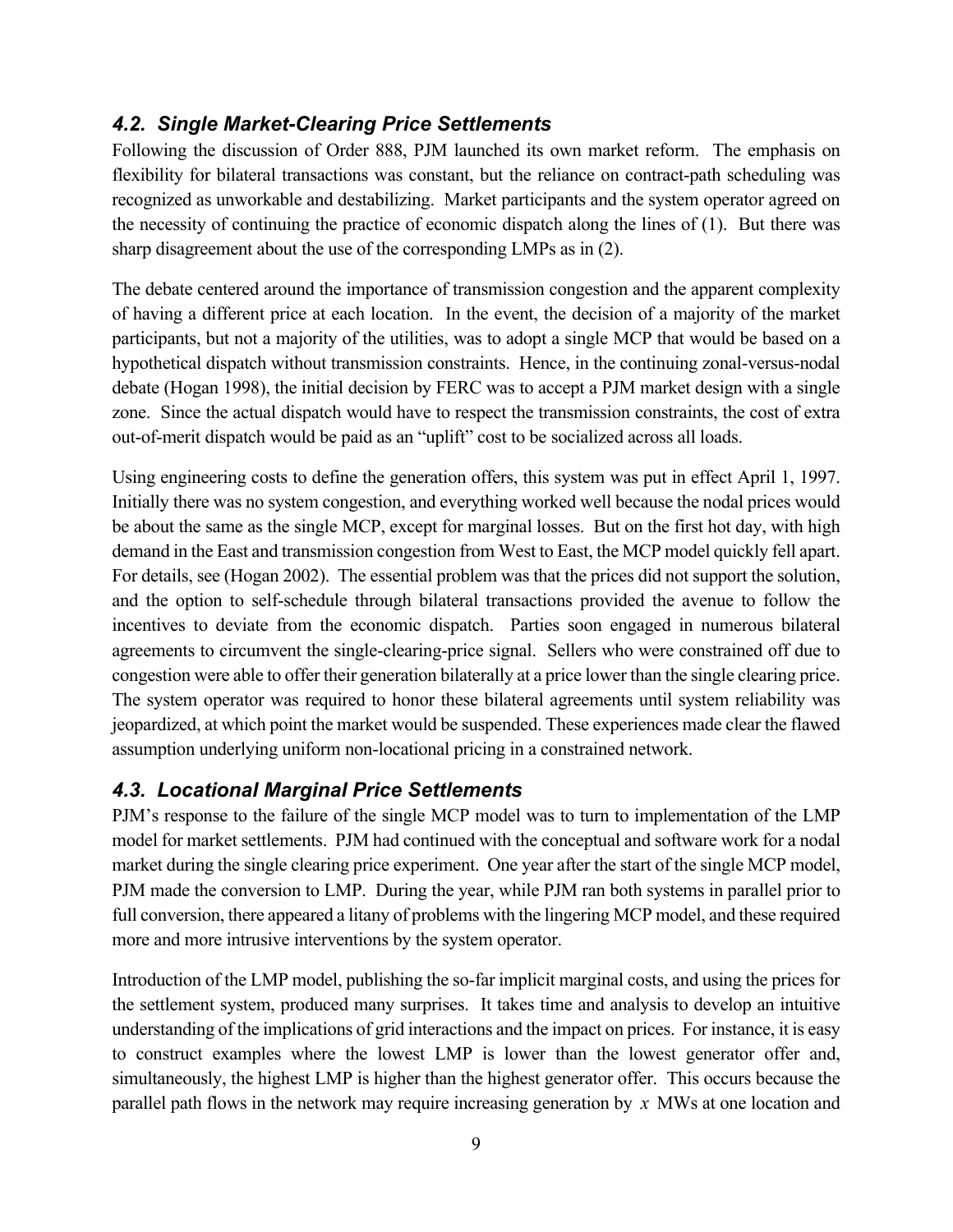### *4.2. Single Market-Clearing Price Settlements*

Following the discussion of Order 888, PJM launched its own market reform. The emphasis on flexibility for bilateral transactions was constant, but the reliance on contract-path scheduling was recognized as unworkable and destabilizing. Market participants and the system operator agreed on the necessity of continuing the practice of economic dispatch along the lines of (1). But there was sharp disagreement about the use of the corresponding LMPs as in (2).

The debate centered around the importance of transmission congestion and the apparent complexity of having a different price at each location. In the event, the decision of a majority of the market participants, but not a majority of the utilities, was to adopt a single MCP that would be based on a hypothetical dispatch without transmission constraints. Hence, in the continuing zonal-versus-nodal debate (Hogan 1998), the initial decision by FERC was to accept a PJM market design with a single zone. Since the actual dispatch would have to respect the transmission constraints, the cost of extra out-of-merit dispatch would be paid as an "uplift" cost to be socialized across all loads.

Using engineering costs to define the generation offers, this system was put in effect April 1, 1997. Initially there was no system congestion, and everything worked well because the nodal prices would be about the same as the single MCP, except for marginal losses. But on the first hot day, with high demand in the East and transmission congestion from West to East, the MCP model quickly fell apart. For details, see (Hogan 2002). The essential problem was that the prices did not support the solution, and the option to self-schedule through bilateral transactions provided the avenue to follow the incentives to deviate from the economic dispatch. Parties soon engaged in numerous bilateral agreements to circumvent the single-clearing-price signal. Sellers who were constrained off due to congestion were able to offer their generation bilaterally at a price lower than the single clearing price. The system operator was required to honor these bilateral agreements until system reliability was jeopardized, at which point the market would be suspended. These experiences made clear the flawed assumption underlying uniform non-locational pricing in a constrained network.

### *4.3. Locational Marginal Price Settlements*

PJM's response to the failure of the single MCP model was to turn to implementation of the LMP model for market settlements. PJM had continued with the conceptual and software work for a nodal market during the single clearing price experiment. One year after the start of the single MCP model, PJM made the conversion to LMP. During the year, while PJM ran both systems in parallel prior to full conversion, there appeared a litany of problems with the lingering MCP model, and these required more and more intrusive interventions by the system operator.

Introduction of the LMP model, publishing the so-far implicit marginal costs, and using the prices for the settlement system, produced many surprises. It takes time and analysis to develop an intuitive understanding of the implications of grid interactions and the impact on prices. For instance, it is easy to construct examples where the lowest LMP is lower than the lowest generator offer and, simultaneously, the highest LMP is higher than the highest generator offer. This occurs because the parallel path flows in the network may require increasing generation by *x* MWs at one location and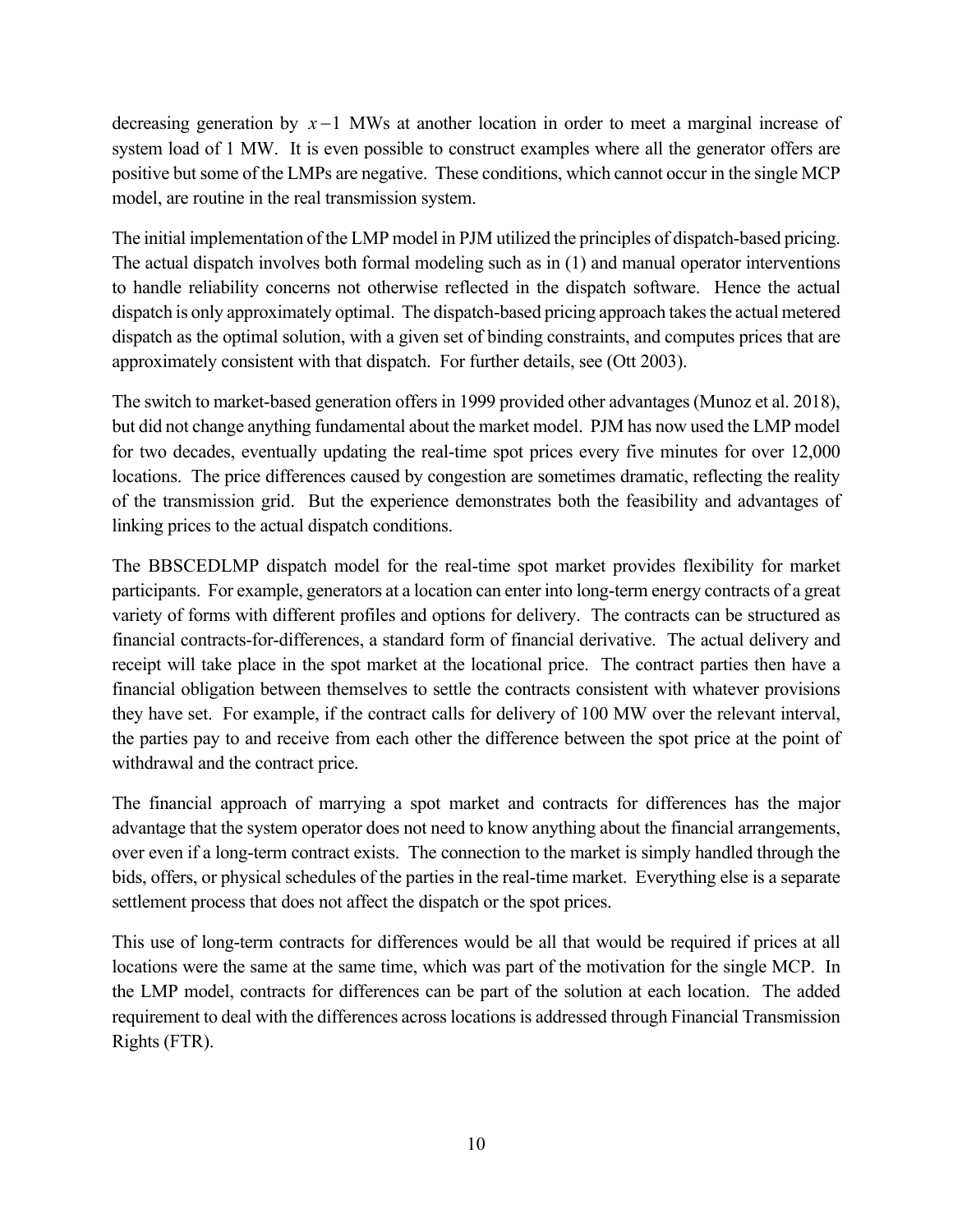decreasing generation by  $x-1$  MWs at another location in order to meet a marginal increase of system load of 1 MW. It is even possible to construct examples where all the generator offers are positive but some of the LMPs are negative. These conditions, which cannot occur in the single MCP model, are routine in the real transmission system.

The initial implementation of the LMP model in PJM utilized the principles of dispatch-based pricing. The actual dispatch involves both formal modeling such as in (1) and manual operator interventions to handle reliability concerns not otherwise reflected in the dispatch software. Hence the actual dispatch is only approximately optimal. The dispatch-based pricing approach takes the actual metered dispatch as the optimal solution, with a given set of binding constraints, and computes prices that are approximately consistent with that dispatch. For further details, see (Ott 2003).

The switch to market-based generation offers in 1999 provided other advantages (Munoz et al. 2018), but did not change anything fundamental about the market model. PJM has now used the LMP model for two decades, eventually updating the real-time spot prices every five minutes for over 12,000 locations. The price differences caused by congestion are sometimes dramatic, reflecting the reality of the transmission grid. But the experience demonstrates both the feasibility and advantages of linking prices to the actual dispatch conditions.

The BBSCEDLMP dispatch model for the real-time spot market provides flexibility for market participants. For example, generators at a location can enter into long-term energy contracts of a great variety of forms with different profiles and options for delivery. The contracts can be structured as financial contracts-for-differences, a standard form of financial derivative. The actual delivery and receipt will take place in the spot market at the locational price. The contract parties then have a financial obligation between themselves to settle the contracts consistent with whatever provisions they have set. For example, if the contract calls for delivery of 100 MW over the relevant interval, the parties pay to and receive from each other the difference between the spot price at the point of withdrawal and the contract price.

The financial approach of marrying a spot market and contracts for differences has the major advantage that the system operator does not need to know anything about the financial arrangements, over even if a long-term contract exists. The connection to the market is simply handled through the bids, offers, or physical schedules of the parties in the real-time market. Everything else is a separate settlement process that does not affect the dispatch or the spot prices.

This use of long-term contracts for differences would be all that would be required if prices at all locations were the same at the same time, which was part of the motivation for the single MCP. In the LMP model, contracts for differences can be part of the solution at each location. The added requirement to deal with the differences across locations is addressed through Financial Transmission Rights (FTR).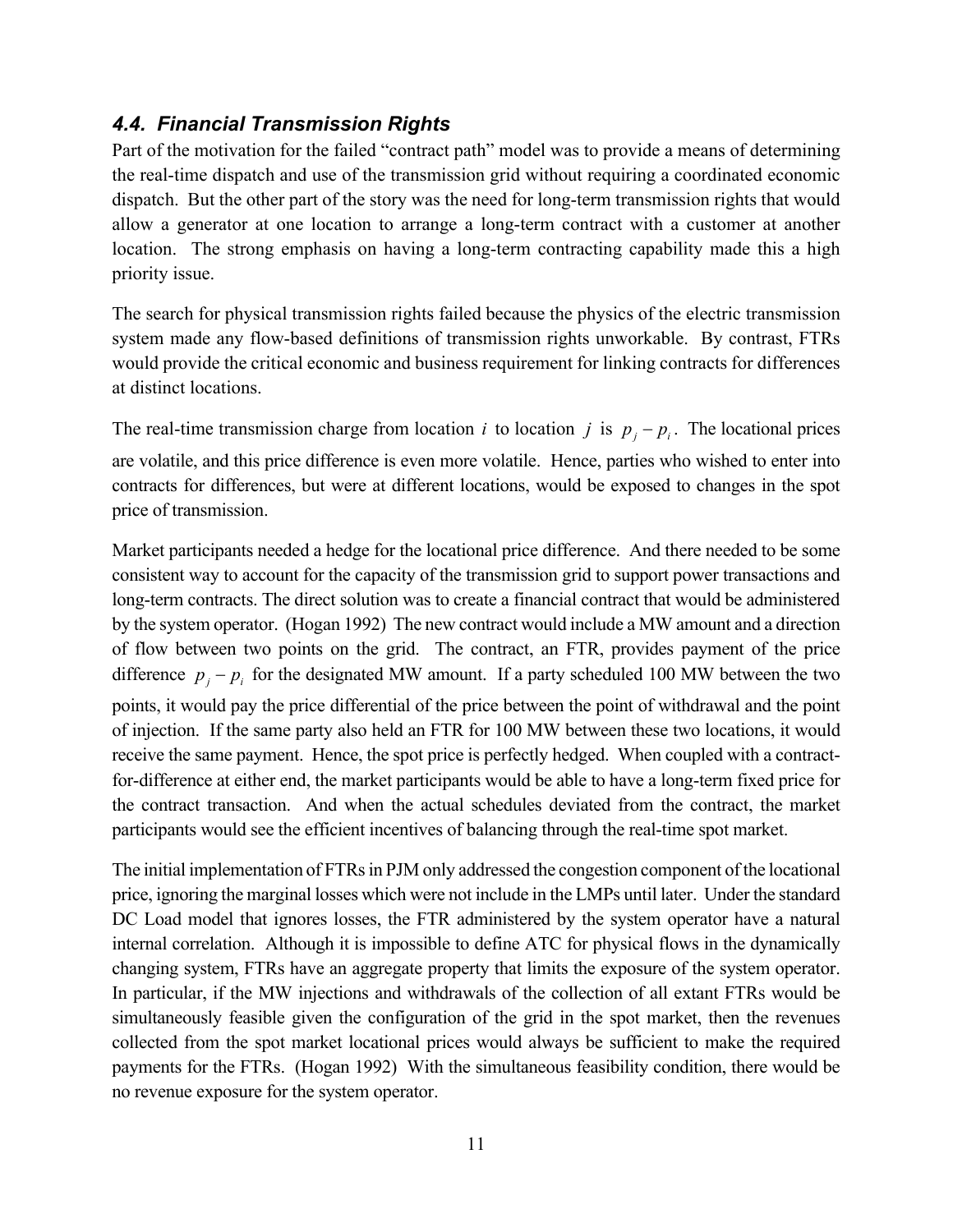### *4.4. Financial Transmission Rights*

Part of the motivation for the failed "contract path" model was to provide a means of determining the real-time dispatch and use of the transmission grid without requiring a coordinated economic dispatch. But the other part of the story was the need for long-term transmission rights that would allow a generator at one location to arrange a long-term contract with a customer at another location. The strong emphasis on having a long-term contracting capability made this a high priority issue.

The search for physical transmission rights failed because the physics of the electric transmission system made any flow-based definitions of transmission rights unworkable. By contrast, FTRs would provide the critical economic and business requirement for linking contracts for differences at distinct locations.

The real-time transmission charge from location *i* to location *j* is  $p_j - p_i$ . The locational prices are volatile, and this price difference is even more volatile. Hence, parties who wished to enter into contracts for differences, but were at different locations, would be exposed to changes in the spot price of transmission.

Market participants needed a hedge for the locational price difference. And there needed to be some consistent way to account for the capacity of the transmission grid to support power transactions and long-term contracts. The direct solution was to create a financial contract that would be administered by the system operator. (Hogan 1992) The new contract would include a MW amount and a direction of flow between two points on the grid. The contract, an FTR, provides payment of the price difference  $p_i - p_i$  for the designated MW amount. If a party scheduled 100 MW between the two points, it would pay the price differential of the price between the point of withdrawal and the point of injection. If the same party also held an FTR for 100 MW between these two locations, it would receive the same payment. Hence, the spot price is perfectly hedged. When coupled with a contractfor-difference at either end, the market participants would be able to have a long-term fixed price for the contract transaction. And when the actual schedules deviated from the contract, the market participants would see the efficient incentives of balancing through the real-time spot market.

The initial implementation of FTRs in PJM only addressed the congestion component of the locational price, ignoring the marginal losses which were not include in the LMPs until later. Under the standard DC Load model that ignores losses, the FTR administered by the system operator have a natural internal correlation. Although it is impossible to define ATC for physical flows in the dynamically changing system, FTRs have an aggregate property that limits the exposure of the system operator. In particular, if the MW injections and withdrawals of the collection of all extant FTRs would be simultaneously feasible given the configuration of the grid in the spot market, then the revenues collected from the spot market locational prices would always be sufficient to make the required payments for the FTRs. (Hogan 1992) With the simultaneous feasibility condition, there would be no revenue exposure for the system operator.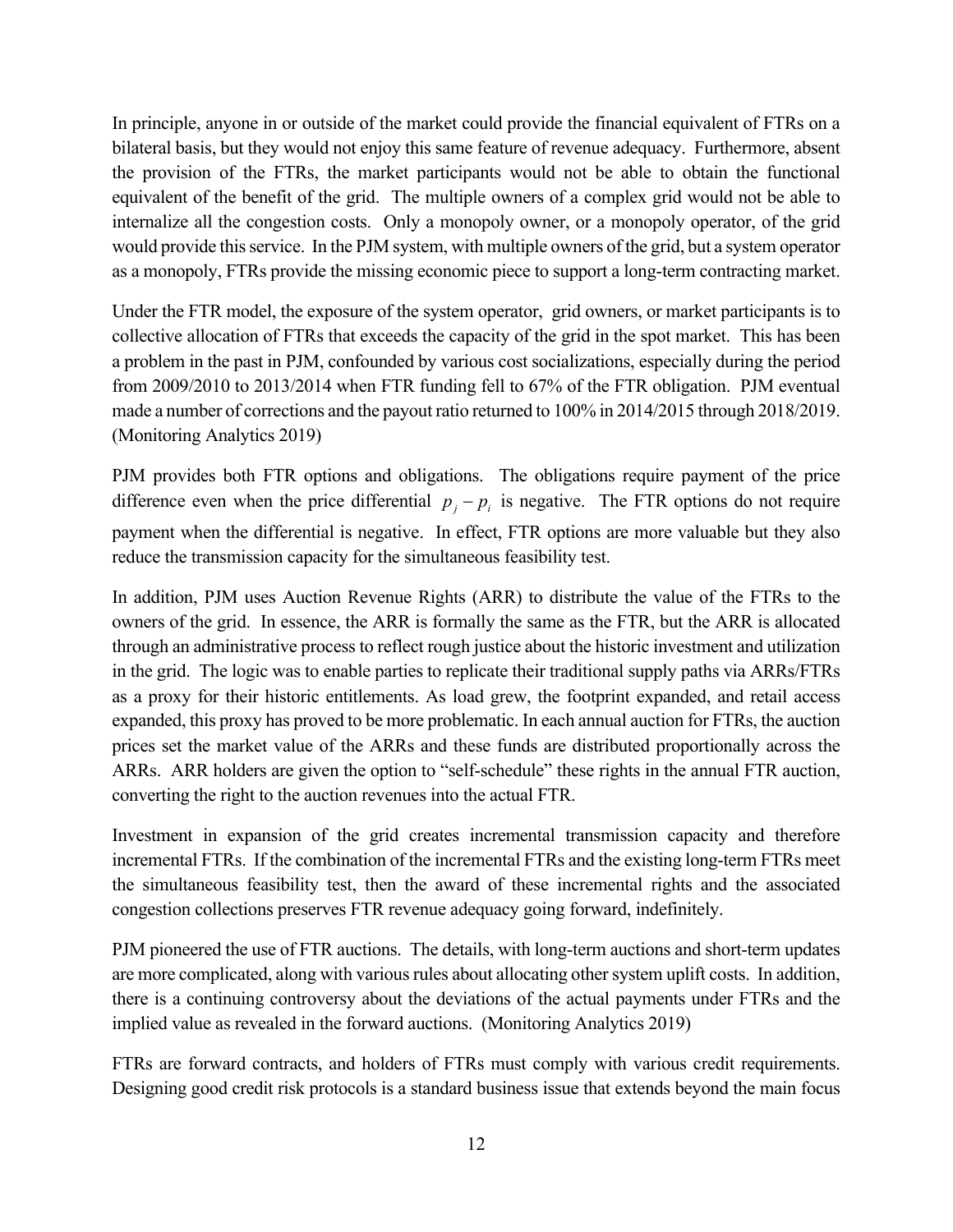In principle, anyone in or outside of the market could provide the financial equivalent of FTRs on a bilateral basis, but they would not enjoy this same feature of revenue adequacy. Furthermore, absent the provision of the FTRs, the market participants would not be able to obtain the functional equivalent of the benefit of the grid. The multiple owners of a complex grid would not be able to internalize all the congestion costs. Only a monopoly owner, or a monopoly operator, of the grid would provide this service. In the PJM system, with multiple owners of the grid, but a system operator as a monopoly, FTRs provide the missing economic piece to support a long-term contracting market.

Under the FTR model, the exposure of the system operator, grid owners, or market participants is to collective allocation of FTRs that exceeds the capacity of the grid in the spot market. This has been a problem in the past in PJM, confounded by various cost socializations, especially during the period from 2009/2010 to 2013/2014 when FTR funding fell to 67% of the FTR obligation. PJM eventual made a number of corrections and the payout ratio returned to 100% in 2014/2015 through 2018/2019. (Monitoring Analytics 2019)

PJM provides both FTR options and obligations. The obligations require payment of the price difference even when the price differential  $p_i - p_i$  is negative. The FTR options do not require payment when the differential is negative. In effect, FTR options are more valuable but they also reduce the transmission capacity for the simultaneous feasibility test.

In addition, PJM uses Auction Revenue Rights (ARR) to distribute the value of the FTRs to the owners of the grid. In essence, the ARR is formally the same as the FTR, but the ARR is allocated through an administrative process to reflect rough justice about the historic investment and utilization in the grid. The logic was to enable parties to replicate their traditional supply paths via ARRs/FTRs as a proxy for their historic entitlements. As load grew, the footprint expanded, and retail access expanded, this proxy has proved to be more problematic. In each annual auction for FTRs, the auction prices set the market value of the ARRs and these funds are distributed proportionally across the ARRs. ARR holders are given the option to "self-schedule" these rights in the annual FTR auction, converting the right to the auction revenues into the actual FTR.

Investment in expansion of the grid creates incremental transmission capacity and therefore incremental FTRs. If the combination of the incremental FTRs and the existing long-term FTRs meet the simultaneous feasibility test, then the award of these incremental rights and the associated congestion collections preserves FTR revenue adequacy going forward, indefinitely.

PJM pioneered the use of FTR auctions. The details, with long-term auctions and short-term updates are more complicated, along with various rules about allocating other system uplift costs. In addition, there is a continuing controversy about the deviations of the actual payments under FTRs and the implied value as revealed in the forward auctions. (Monitoring Analytics 2019)

FTRs are forward contracts, and holders of FTRs must comply with various credit requirements. Designing good credit risk protocols is a standard business issue that extends beyond the main focus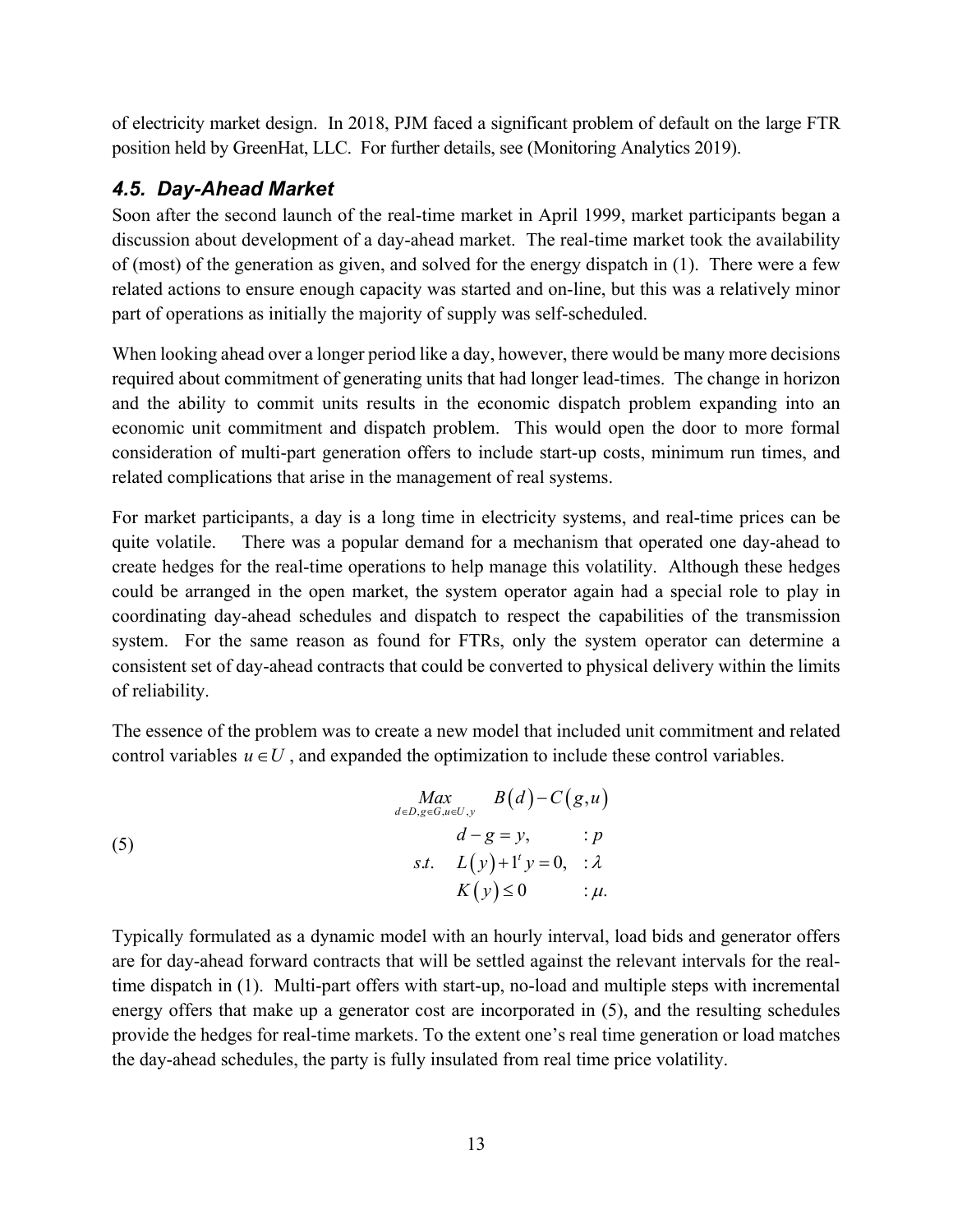of electricity market design. In 2018, PJM faced a significant problem of default on the large FTR position held by GreenHat, LLC. For further details, see (Monitoring Analytics 2019).

#### *4.5. Day-Ahead Market*

Soon after the second launch of the real-time market in April 1999, market participants began a discussion about development of a day-ahead market. The real-time market took the availability of (most) of the generation as given, and solved for the energy dispatch in (1). There were a few related actions to ensure enough capacity was started and on-line, but this was a relatively minor part of operations as initially the majority of supply was self-scheduled.

When looking ahead over a longer period like a day, however, there would be many more decisions required about commitment of generating units that had longer lead-times. The change in horizon and the ability to commit units results in the economic dispatch problem expanding into an economic unit commitment and dispatch problem. This would open the door to more formal consideration of multi-part generation offers to include start-up costs, minimum run times, and related complications that arise in the management of real systems.

For market participants, a day is a long time in electricity systems, and real-time prices can be quite volatile. There was a popular demand for a mechanism that operated one day-ahead to create hedges for the real-time operations to help manage this volatility. Although these hedges could be arranged in the open market, the system operator again had a special role to play in coordinating day-ahead schedules and dispatch to respect the capabilities of the transmission system. For the same reason as found for FTRs, only the system operator can determine a consistent set of day-ahead contracts that could be converted to physical delivery within the limits of reliability.

The essence of the problem was to create a new model that included unit commitment and related control variables  $u \in U$ , and expanded the optimization to include these control variables.

(5)  
\n
$$
\begin{aligned}\n\lim_{d \in D, g \in G, u \in U, y} B(d) - C(g, u) \\
d - g = y, &\quad: p \\
\text{s.t.} \quad L(y) + 1' y = 0, &\quad: \lambda \\
K(y) \le 0 &\quad: \mu.\n\end{aligned}
$$

Typically formulated as a dynamic model with an hourly interval, load bids and generator offers are for day-ahead forward contracts that will be settled against the relevant intervals for the realtime dispatch in (1). Multi-part offers with start-up, no-load and multiple steps with incremental energy offers that make up a generator cost are incorporated in (5), and the resulting schedules provide the hedges for real-time markets. To the extent one's real time generation or load matches the day-ahead schedules, the party is fully insulated from real time price volatility.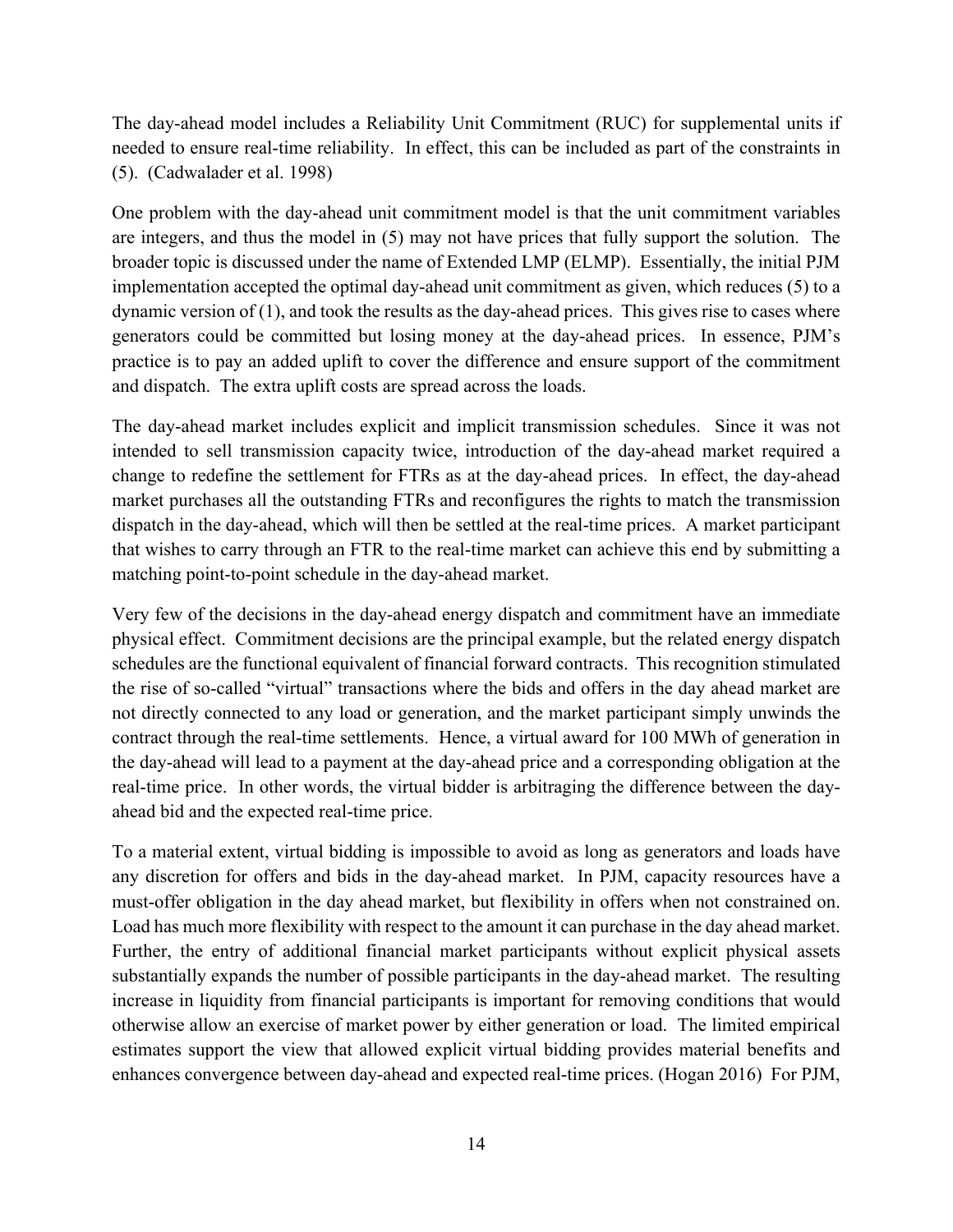The day-ahead model includes a Reliability Unit Commitment (RUC) for supplemental units if needed to ensure real-time reliability. In effect, this can be included as part of the constraints in (5). (Cadwalader et al. 1998)

One problem with the day-ahead unit commitment model is that the unit commitment variables are integers, and thus the model in (5) may not have prices that fully support the solution. The broader topic is discussed under the name of Extended LMP (ELMP). Essentially, the initial PJM implementation accepted the optimal day-ahead unit commitment as given, which reduces (5) to a dynamic version of (1), and took the results as the day-ahead prices. This gives rise to cases where generators could be committed but losing money at the day-ahead prices. In essence, PJM's practice is to pay an added uplift to cover the difference and ensure support of the commitment and dispatch. The extra uplift costs are spread across the loads.

The day-ahead market includes explicit and implicit transmission schedules. Since it was not intended to sell transmission capacity twice, introduction of the day-ahead market required a change to redefine the settlement for FTRs as at the day-ahead prices. In effect, the day-ahead market purchases all the outstanding FTRs and reconfigures the rights to match the transmission dispatch in the day-ahead, which will then be settled at the real-time prices. A market participant that wishes to carry through an FTR to the real-time market can achieve this end by submitting a matching point-to-point schedule in the day-ahead market.

Very few of the decisions in the day-ahead energy dispatch and commitment have an immediate physical effect. Commitment decisions are the principal example, but the related energy dispatch schedules are the functional equivalent of financial forward contracts. This recognition stimulated the rise of so-called "virtual" transactions where the bids and offers in the day ahead market are not directly connected to any load or generation, and the market participant simply unwinds the contract through the real-time settlements. Hence, a virtual award for 100 MWh of generation in the day-ahead will lead to a payment at the day-ahead price and a corresponding obligation at the real-time price. In other words, the virtual bidder is arbitraging the difference between the dayahead bid and the expected real-time price.

To a material extent, virtual bidding is impossible to avoid as long as generators and loads have any discretion for offers and bids in the day-ahead market. In PJM, capacity resources have a must-offer obligation in the day ahead market, but flexibility in offers when not constrained on. Load has much more flexibility with respect to the amount it can purchase in the day ahead market. Further, the entry of additional financial market participants without explicit physical assets substantially expands the number of possible participants in the day-ahead market. The resulting increase in liquidity from financial participants is important for removing conditions that would otherwise allow an exercise of market power by either generation or load. The limited empirical estimates support the view that allowed explicit virtual bidding provides material benefits and enhances convergence between day-ahead and expected real-time prices. (Hogan 2016) For PJM,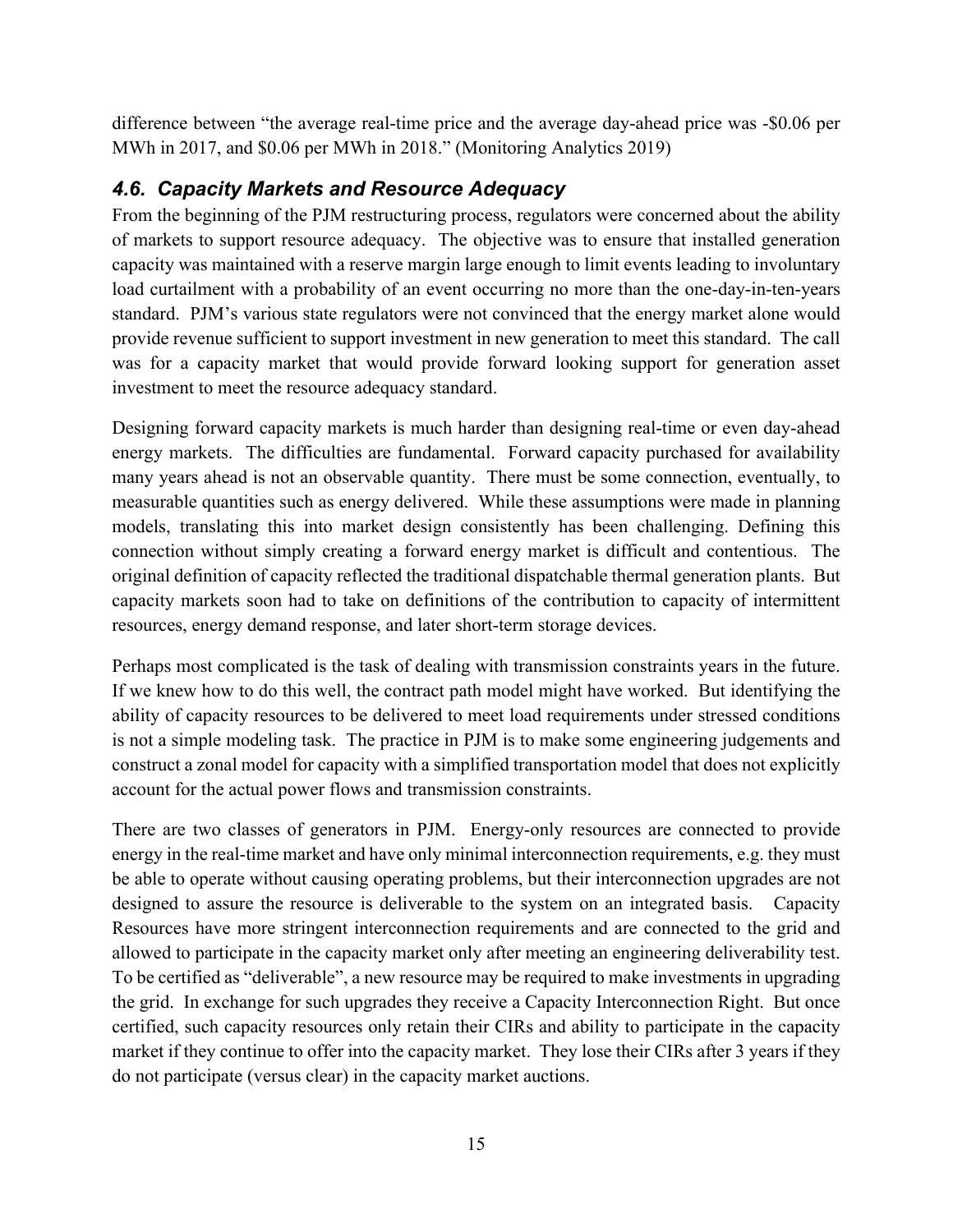difference between "the average real-time price and the average day-ahead price was -\$0.06 per MWh in 2017, and \$0.06 per MWh in 2018." (Monitoring Analytics 2019)

### *4.6. Capacity Markets and Resource Adequacy*

From the beginning of the PJM restructuring process, regulators were concerned about the ability of markets to support resource adequacy. The objective was to ensure that installed generation capacity was maintained with a reserve margin large enough to limit events leading to involuntary load curtailment with a probability of an event occurring no more than the one-day-in-ten-years standard. PJM's various state regulators were not convinced that the energy market alone would provide revenue sufficient to support investment in new generation to meet this standard. The call was for a capacity market that would provide forward looking support for generation asset investment to meet the resource adequacy standard.

Designing forward capacity markets is much harder than designing real-time or even day-ahead energy markets. The difficulties are fundamental. Forward capacity purchased for availability many years ahead is not an observable quantity. There must be some connection, eventually, to measurable quantities such as energy delivered. While these assumptions were made in planning models, translating this into market design consistently has been challenging. Defining this connection without simply creating a forward energy market is difficult and contentious. The original definition of capacity reflected the traditional dispatchable thermal generation plants. But capacity markets soon had to take on definitions of the contribution to capacity of intermittent resources, energy demand response, and later short-term storage devices.

Perhaps most complicated is the task of dealing with transmission constraints years in the future. If we knew how to do this well, the contract path model might have worked. But identifying the ability of capacity resources to be delivered to meet load requirements under stressed conditions is not a simple modeling task. The practice in PJM is to make some engineering judgements and construct a zonal model for capacity with a simplified transportation model that does not explicitly account for the actual power flows and transmission constraints.

There are two classes of generators in PJM. Energy-only resources are connected to provide energy in the real-time market and have only minimal interconnection requirements, e.g. they must be able to operate without causing operating problems, but their interconnection upgrades are not designed to assure the resource is deliverable to the system on an integrated basis. Capacity Resources have more stringent interconnection requirements and are connected to the grid and allowed to participate in the capacity market only after meeting an engineering deliverability test. To be certified as "deliverable", a new resource may be required to make investments in upgrading the grid. In exchange for such upgrades they receive a Capacity Interconnection Right. But once certified, such capacity resources only retain their CIRs and ability to participate in the capacity market if they continue to offer into the capacity market. They lose their CIRs after 3 years if they do not participate (versus clear) in the capacity market auctions.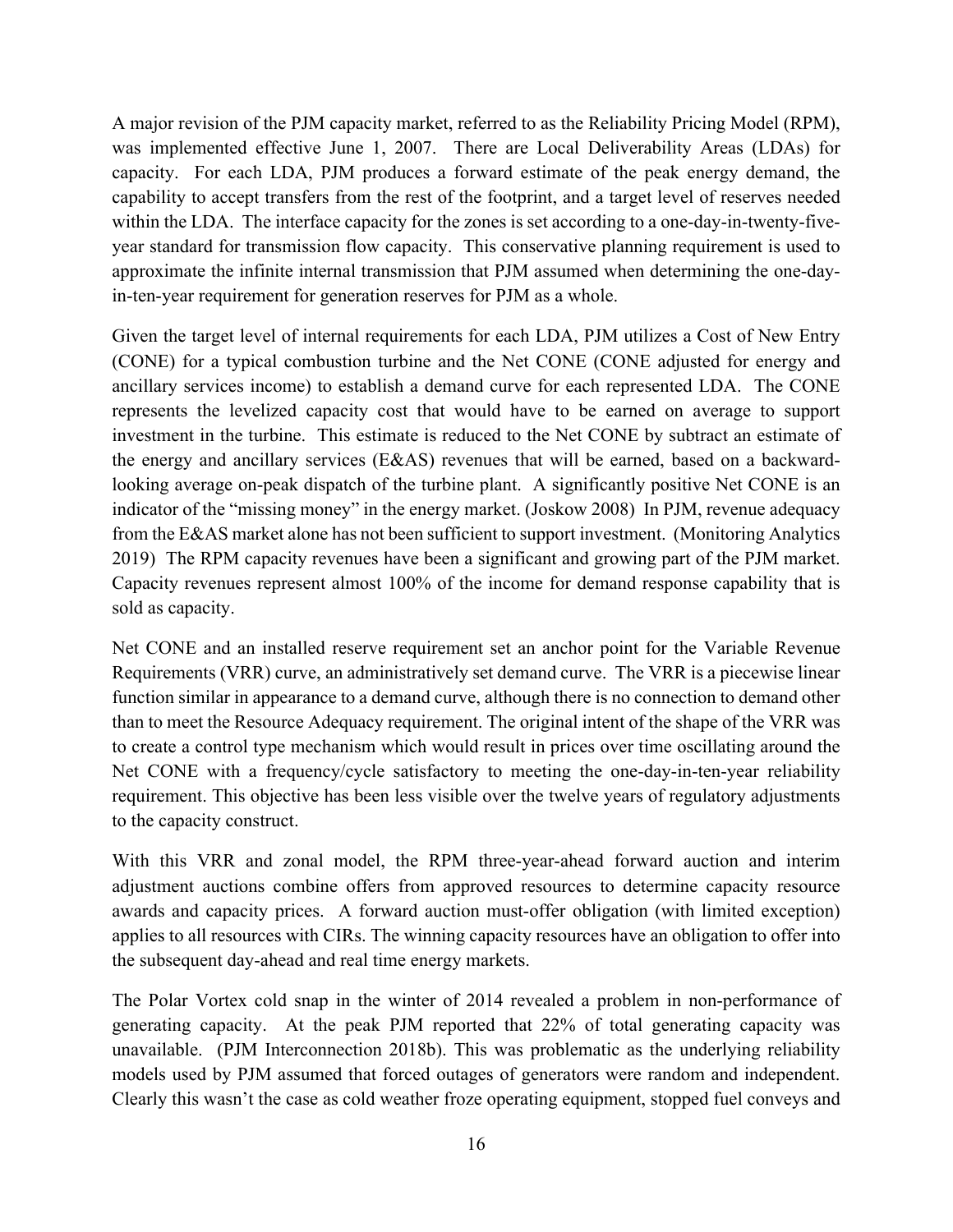A major revision of the PJM capacity market, referred to as the Reliability Pricing Model (RPM), was implemented effective June 1, 2007. There are Local Deliverability Areas (LDAs) for capacity. For each LDA, PJM produces a forward estimate of the peak energy demand, the capability to accept transfers from the rest of the footprint, and a target level of reserves needed within the LDA. The interface capacity for the zones is set according to a one-day-in-twenty-fiveyear standard for transmission flow capacity. This conservative planning requirement is used to approximate the infinite internal transmission that PJM assumed when determining the one-dayin-ten-year requirement for generation reserves for PJM as a whole.

Given the target level of internal requirements for each LDA, PJM utilizes a Cost of New Entry (CONE) for a typical combustion turbine and the Net CONE (CONE adjusted for energy and ancillary services income) to establish a demand curve for each represented LDA. The CONE represents the levelized capacity cost that would have to be earned on average to support investment in the turbine. This estimate is reduced to the Net CONE by subtract an estimate of the energy and ancillary services (E&AS) revenues that will be earned, based on a backwardlooking average on-peak dispatch of the turbine plant. A significantly positive Net CONE is an indicator of the "missing money" in the energy market. (Joskow 2008) In PJM, revenue adequacy from the E&AS market alone has not been sufficient to support investment. (Monitoring Analytics 2019) The RPM capacity revenues have been a significant and growing part of the PJM market. Capacity revenues represent almost 100% of the income for demand response capability that is sold as capacity.

Net CONE and an installed reserve requirement set an anchor point for the Variable Revenue Requirements (VRR) curve, an administratively set demand curve. The VRR is a piecewise linear function similar in appearance to a demand curve, although there is no connection to demand other than to meet the Resource Adequacy requirement. The original intent of the shape of the VRR was to create a control type mechanism which would result in prices over time oscillating around the Net CONE with a frequency/cycle satisfactory to meeting the one-day-in-ten-year reliability requirement. This objective has been less visible over the twelve years of regulatory adjustments to the capacity construct.

With this VRR and zonal model, the RPM three-year-ahead forward auction and interim adjustment auctions combine offers from approved resources to determine capacity resource awards and capacity prices. A forward auction must-offer obligation (with limited exception) applies to all resources with CIRs. The winning capacity resources have an obligation to offer into the subsequent day-ahead and real time energy markets.

The Polar Vortex cold snap in the winter of 2014 revealed a problem in non-performance of generating capacity. At the peak PJM reported that 22% of total generating capacity was unavailable. (PJM Interconnection 2018b). This was problematic as the underlying reliability models used by PJM assumed that forced outages of generators were random and independent. Clearly this wasn't the case as cold weather froze operating equipment, stopped fuel conveys and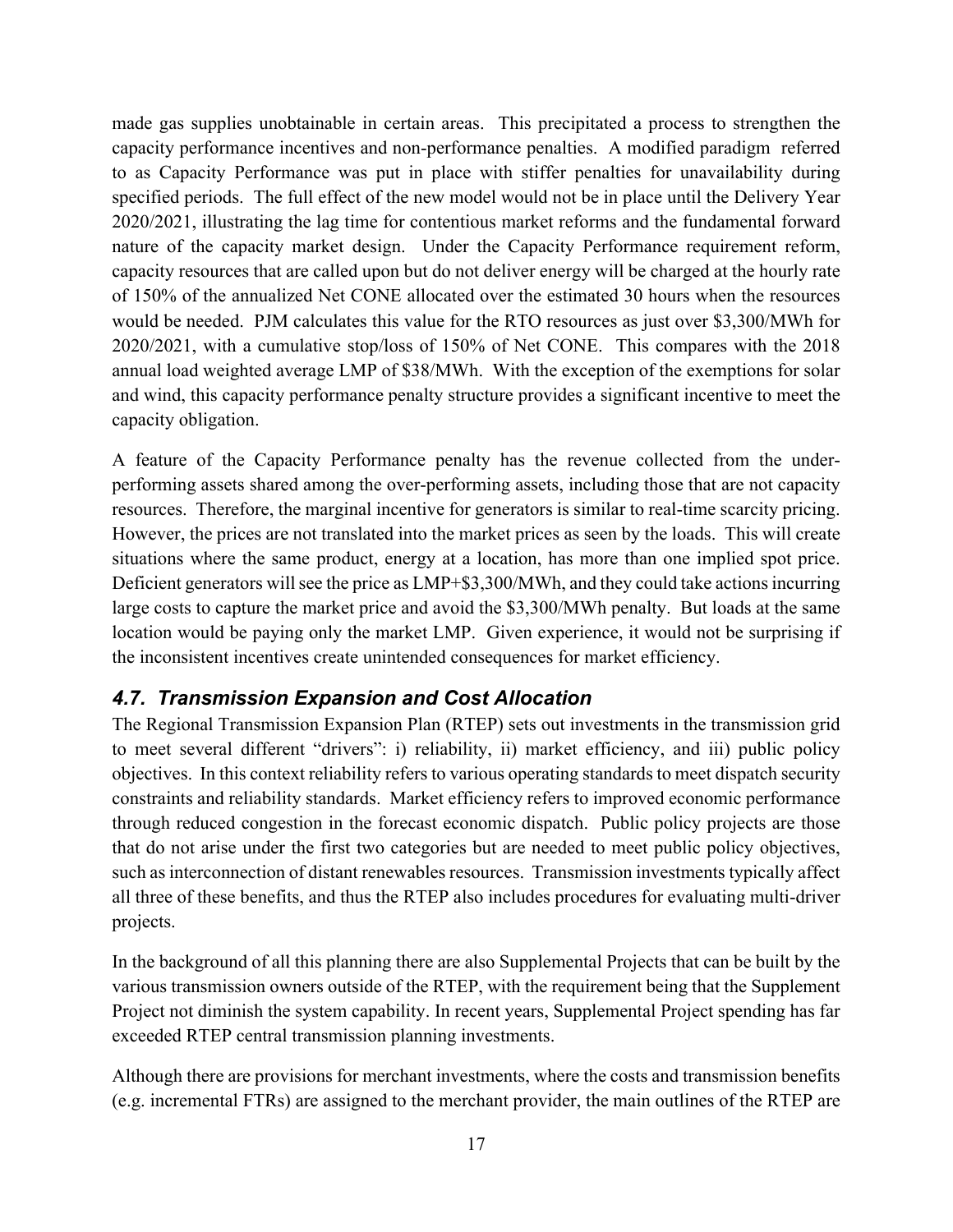made gas supplies unobtainable in certain areas. This precipitated a process to strengthen the capacity performance incentives and non-performance penalties. A modified paradigm referred to as Capacity Performance was put in place with stiffer penalties for unavailability during specified periods. The full effect of the new model would not be in place until the Delivery Year 2020/2021, illustrating the lag time for contentious market reforms and the fundamental forward nature of the capacity market design. Under the Capacity Performance requirement reform, capacity resources that are called upon but do not deliver energy will be charged at the hourly rate of 150% of the annualized Net CONE allocated over the estimated 30 hours when the resources would be needed. PJM calculates this value for the RTO resources as just over \$3,300/MWh for 2020/2021, with a cumulative stop/loss of 150% of Net CONE. This compares with the 2018 annual load weighted average LMP of \$38/MWh. With the exception of the exemptions for solar and wind, this capacity performance penalty structure provides a significant incentive to meet the capacity obligation.

A feature of the Capacity Performance penalty has the revenue collected from the underperforming assets shared among the over-performing assets, including those that are not capacity resources. Therefore, the marginal incentive for generators is similar to real-time scarcity pricing. However, the prices are not translated into the market prices as seen by the loads. This will create situations where the same product, energy at a location, has more than one implied spot price. Deficient generators will see the price as LMP+\$3,300/MWh, and they could take actions incurring large costs to capture the market price and avoid the \$3,300/MWh penalty. But loads at the same location would be paying only the market LMP. Given experience, it would not be surprising if the inconsistent incentives create unintended consequences for market efficiency.

### *4.7. Transmission Expansion and Cost Allocation*

The Regional Transmission Expansion Plan (RTEP) sets out investments in the transmission grid to meet several different "drivers": i) reliability, ii) market efficiency, and iii) public policy objectives. In this context reliability refers to various operating standards to meet dispatch security constraints and reliability standards. Market efficiency refers to improved economic performance through reduced congestion in the forecast economic dispatch. Public policy projects are those that do not arise under the first two categories but are needed to meet public policy objectives, such as interconnection of distant renewables resources. Transmission investments typically affect all three of these benefits, and thus the RTEP also includes procedures for evaluating multi-driver projects.

In the background of all this planning there are also Supplemental Projects that can be built by the various transmission owners outside of the RTEP, with the requirement being that the Supplement Project not diminish the system capability. In recent years, Supplemental Project spending has far exceeded RTEP central transmission planning investments.

Although there are provisions for merchant investments, where the costs and transmission benefits (e.g. incremental FTRs) are assigned to the merchant provider, the main outlines of the RTEP are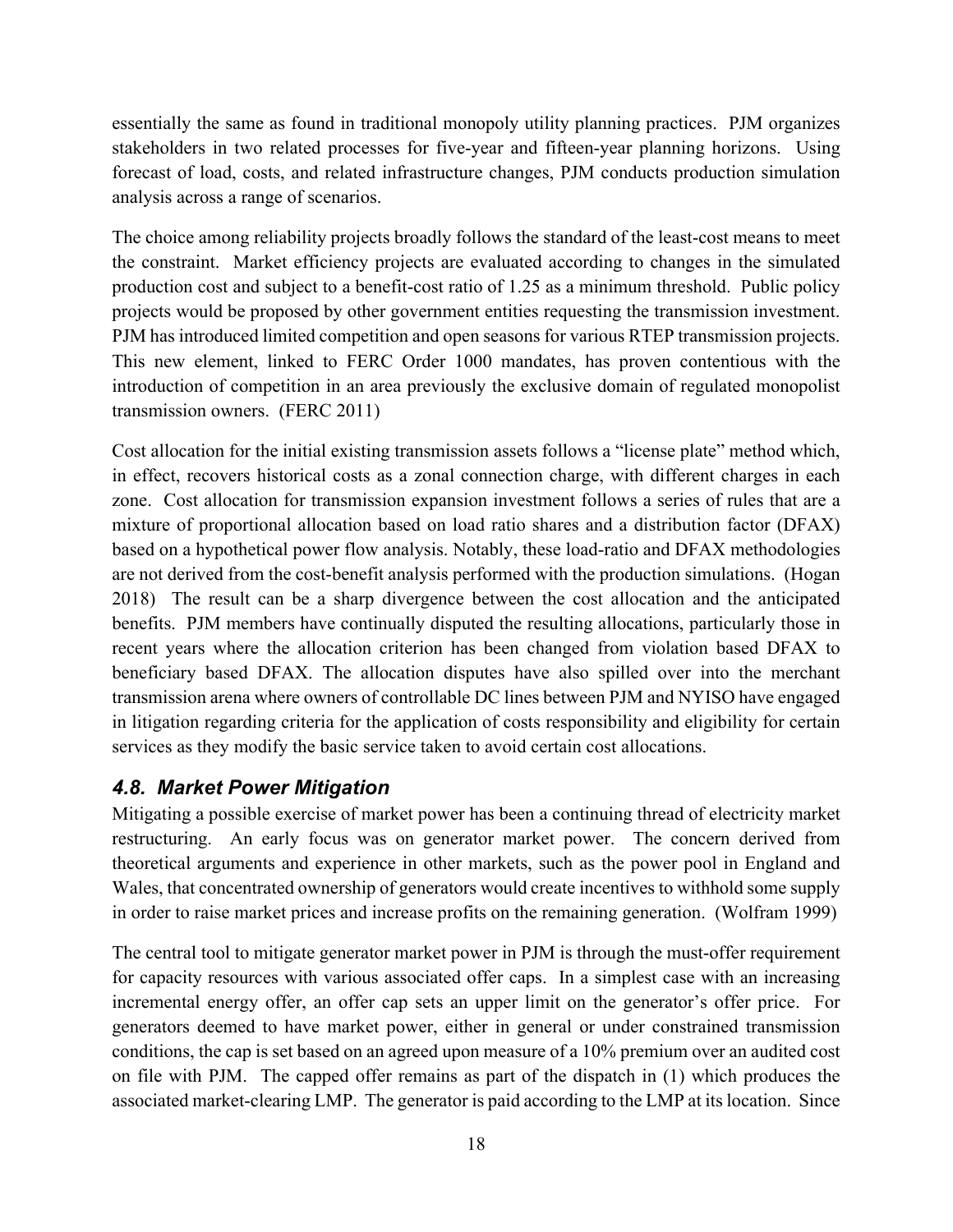essentially the same as found in traditional monopoly utility planning practices. PJM organizes stakeholders in two related processes for five-year and fifteen-year planning horizons. Using forecast of load, costs, and related infrastructure changes, PJM conducts production simulation analysis across a range of scenarios.

The choice among reliability projects broadly follows the standard of the least-cost means to meet the constraint. Market efficiency projects are evaluated according to changes in the simulated production cost and subject to a benefit-cost ratio of 1.25 as a minimum threshold. Public policy projects would be proposed by other government entities requesting the transmission investment. PJM has introduced limited competition and open seasons for various RTEP transmission projects. This new element, linked to FERC Order 1000 mandates, has proven contentious with the introduction of competition in an area previously the exclusive domain of regulated monopolist transmission owners. (FERC 2011)

Cost allocation for the initial existing transmission assets follows a "license plate" method which, in effect, recovers historical costs as a zonal connection charge, with different charges in each zone. Cost allocation for transmission expansion investment follows a series of rules that are a mixture of proportional allocation based on load ratio shares and a distribution factor (DFAX) based on a hypothetical power flow analysis. Notably, these load-ratio and DFAX methodologies are not derived from the cost-benefit analysis performed with the production simulations. (Hogan 2018) The result can be a sharp divergence between the cost allocation and the anticipated benefits. PJM members have continually disputed the resulting allocations, particularly those in recent years where the allocation criterion has been changed from violation based DFAX to beneficiary based DFAX. The allocation disputes have also spilled over into the merchant transmission arena where owners of controllable DC lines between PJM and NYISO have engaged in litigation regarding criteria for the application of costs responsibility and eligibility for certain services as they modify the basic service taken to avoid certain cost allocations.

### *4.8. Market Power Mitigation*

Mitigating a possible exercise of market power has been a continuing thread of electricity market restructuring. An early focus was on generator market power. The concern derived from theoretical arguments and experience in other markets, such as the power pool in England and Wales, that concentrated ownership of generators would create incentives to withhold some supply in order to raise market prices and increase profits on the remaining generation. (Wolfram 1999)

The central tool to mitigate generator market power in PJM is through the must-offer requirement for capacity resources with various associated offer caps. In a simplest case with an increasing incremental energy offer, an offer cap sets an upper limit on the generator's offer price. For generators deemed to have market power, either in general or under constrained transmission conditions, the cap is set based on an agreed upon measure of a 10% premium over an audited cost on file with PJM. The capped offer remains as part of the dispatch in (1) which produces the associated market-clearing LMP. The generator is paid according to the LMP at its location. Since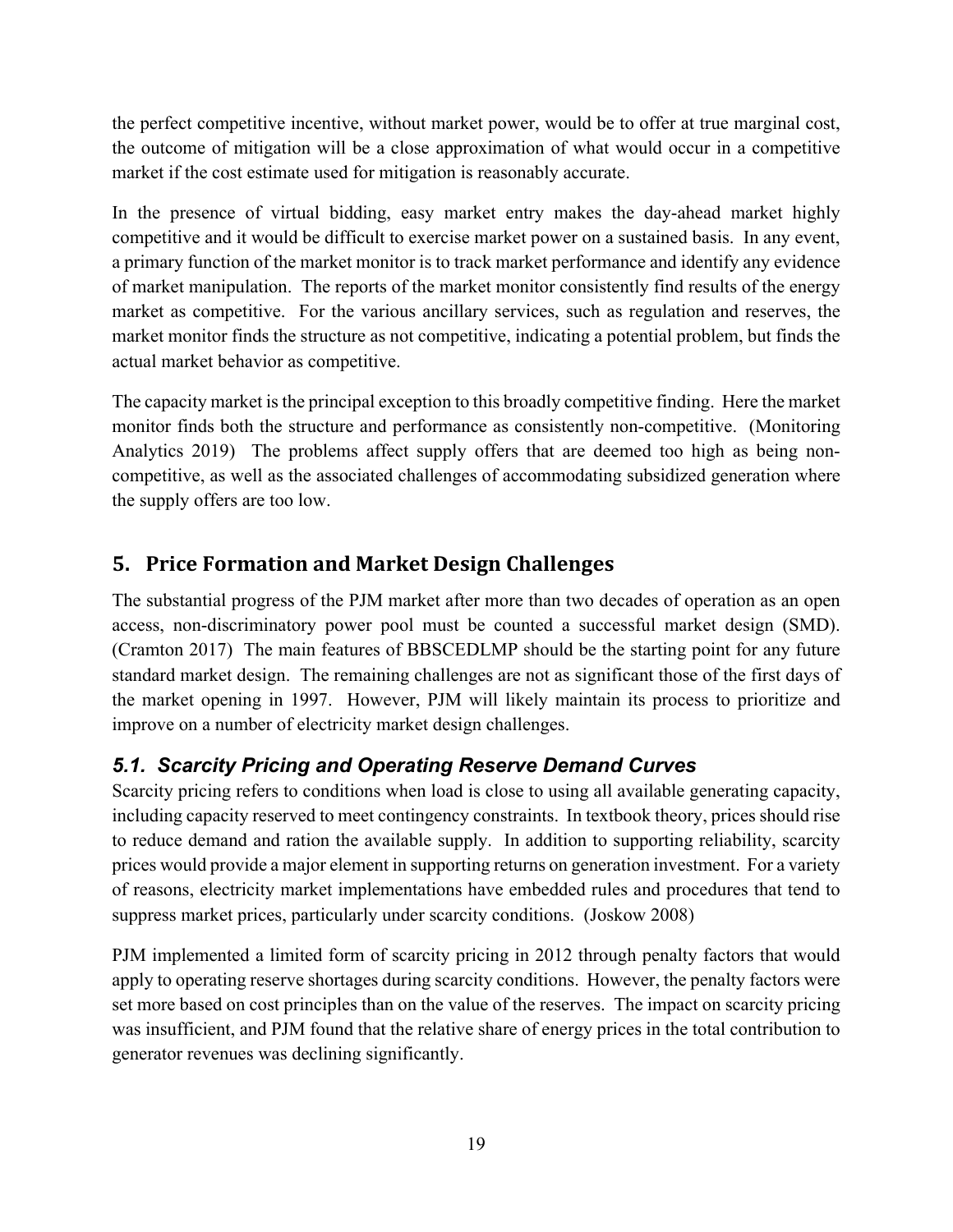the perfect competitive incentive, without market power, would be to offer at true marginal cost, the outcome of mitigation will be a close approximation of what would occur in a competitive market if the cost estimate used for mitigation is reasonably accurate.

In the presence of virtual bidding, easy market entry makes the day-ahead market highly competitive and it would be difficult to exercise market power on a sustained basis. In any event, a primary function of the market monitor is to track market performance and identify any evidence of market manipulation. The reports of the market monitor consistently find results of the energy market as competitive. For the various ancillary services, such as regulation and reserves, the market monitor finds the structure as not competitive, indicating a potential problem, but finds the actual market behavior as competitive.

The capacity market is the principal exception to this broadly competitive finding. Here the market monitor finds both the structure and performance as consistently non-competitive. (Monitoring Analytics 2019) The problems affect supply offers that are deemed too high as being noncompetitive, as well as the associated challenges of accommodating subsidized generation where the supply offers are too low.

# **5. Price Formation and Market Design Challenges**

The substantial progress of the PJM market after more than two decades of operation as an open access, non-discriminatory power pool must be counted a successful market design (SMD). (Cramton 2017) The main features of BBSCEDLMP should be the starting point for any future standard market design. The remaining challenges are not as significant those of the first days of the market opening in 1997. However, PJM will likely maintain its process to prioritize and improve on a number of electricity market design challenges.

# *5.1. Scarcity Pricing and Operating Reserve Demand Curves*

Scarcity pricing refers to conditions when load is close to using all available generating capacity, including capacity reserved to meet contingency constraints. In textbook theory, prices should rise to reduce demand and ration the available supply. In addition to supporting reliability, scarcity prices would provide a major element in supporting returns on generation investment. For a variety of reasons, electricity market implementations have embedded rules and procedures that tend to suppress market prices, particularly under scarcity conditions. (Joskow 2008)

PJM implemented a limited form of scarcity pricing in 2012 through penalty factors that would apply to operating reserve shortages during scarcity conditions. However, the penalty factors were set more based on cost principles than on the value of the reserves. The impact on scarcity pricing was insufficient, and PJM found that the relative share of energy prices in the total contribution to generator revenues was declining significantly.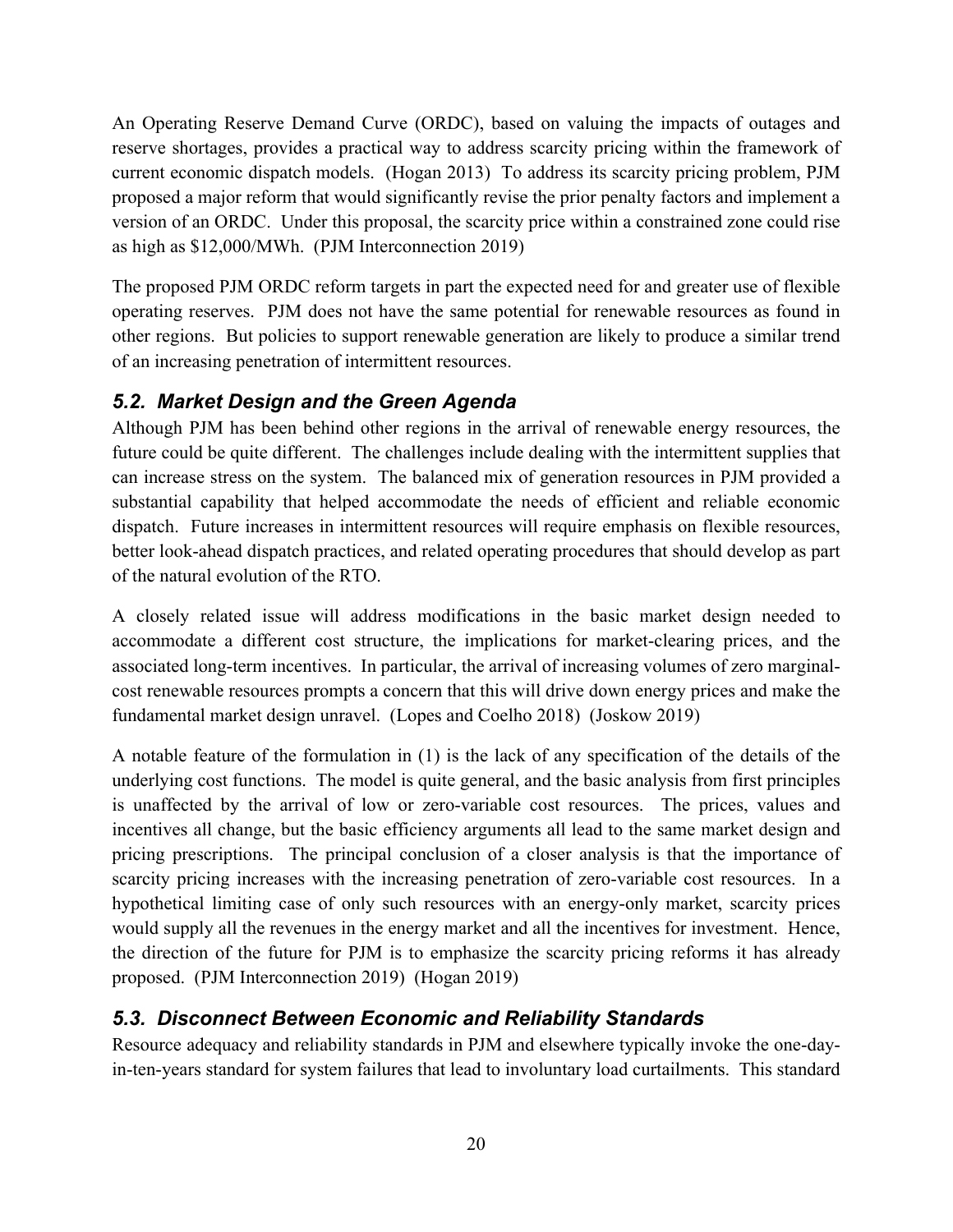An Operating Reserve Demand Curve (ORDC), based on valuing the impacts of outages and reserve shortages, provides a practical way to address scarcity pricing within the framework of current economic dispatch models. (Hogan 2013) To address its scarcity pricing problem, PJM proposed a major reform that would significantly revise the prior penalty factors and implement a version of an ORDC. Under this proposal, the scarcity price within a constrained zone could rise as high as \$12,000/MWh. (PJM Interconnection 2019)

The proposed PJM ORDC reform targets in part the expected need for and greater use of flexible operating reserves. PJM does not have the same potential for renewable resources as found in other regions. But policies to support renewable generation are likely to produce a similar trend of an increasing penetration of intermittent resources.

### *5.2. Market Design and the Green Agenda*

Although PJM has been behind other regions in the arrival of renewable energy resources, the future could be quite different. The challenges include dealing with the intermittent supplies that can increase stress on the system. The balanced mix of generation resources in PJM provided a substantial capability that helped accommodate the needs of efficient and reliable economic dispatch. Future increases in intermittent resources will require emphasis on flexible resources, better look-ahead dispatch practices, and related operating procedures that should develop as part of the natural evolution of the RTO.

A closely related issue will address modifications in the basic market design needed to accommodate a different cost structure, the implications for market-clearing prices, and the associated long-term incentives. In particular, the arrival of increasing volumes of zero marginalcost renewable resources prompts a concern that this will drive down energy prices and make the fundamental market design unravel. (Lopes and Coelho 2018) (Joskow 2019)

A notable feature of the formulation in (1) is the lack of any specification of the details of the underlying cost functions. The model is quite general, and the basic analysis from first principles is unaffected by the arrival of low or zero-variable cost resources. The prices, values and incentives all change, but the basic efficiency arguments all lead to the same market design and pricing prescriptions. The principal conclusion of a closer analysis is that the importance of scarcity pricing increases with the increasing penetration of zero-variable cost resources. In a hypothetical limiting case of only such resources with an energy-only market, scarcity prices would supply all the revenues in the energy market and all the incentives for investment. Hence, the direction of the future for PJM is to emphasize the scarcity pricing reforms it has already proposed. (PJM Interconnection 2019) (Hogan 2019)

# *5.3. Disconnect Between Economic and Reliability Standards*

Resource adequacy and reliability standards in PJM and elsewhere typically invoke the one-dayin-ten-years standard for system failures that lead to involuntary load curtailments. This standard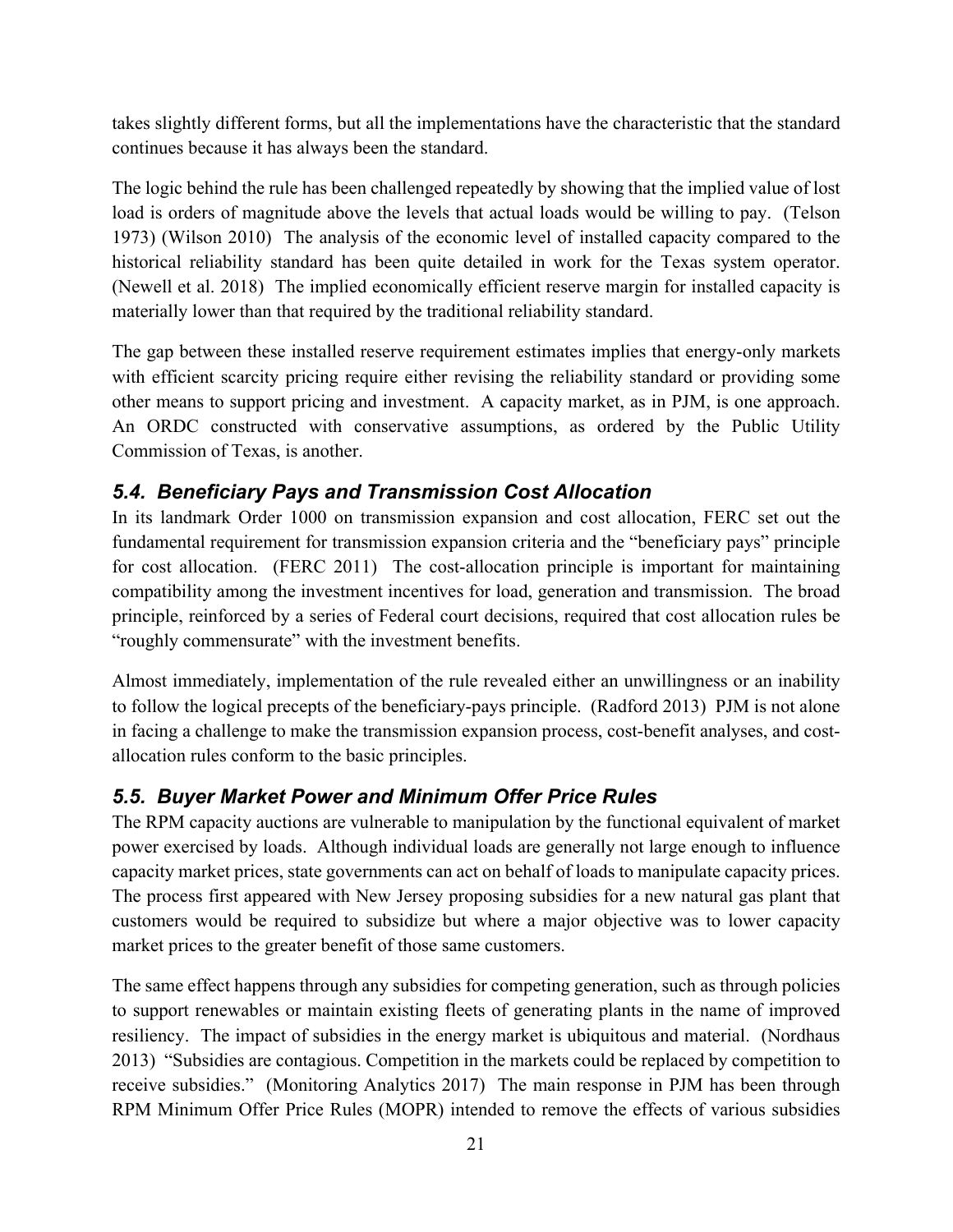takes slightly different forms, but all the implementations have the characteristic that the standard continues because it has always been the standard.

The logic behind the rule has been challenged repeatedly by showing that the implied value of lost load is orders of magnitude above the levels that actual loads would be willing to pay. (Telson 1973) (Wilson 2010) The analysis of the economic level of installed capacity compared to the historical reliability standard has been quite detailed in work for the Texas system operator. (Newell et al. 2018) The implied economically efficient reserve margin for installed capacity is materially lower than that required by the traditional reliability standard.

The gap between these installed reserve requirement estimates implies that energy-only markets with efficient scarcity pricing require either revising the reliability standard or providing some other means to support pricing and investment. A capacity market, as in PJM, is one approach. An ORDC constructed with conservative assumptions, as ordered by the Public Utility Commission of Texas, is another.

### *5.4. Beneficiary Pays and Transmission Cost Allocation*

In its landmark Order 1000 on transmission expansion and cost allocation, FERC set out the fundamental requirement for transmission expansion criteria and the "beneficiary pays" principle for cost allocation. (FERC 2011) The cost-allocation principle is important for maintaining compatibility among the investment incentives for load, generation and transmission. The broad principle, reinforced by a series of Federal court decisions, required that cost allocation rules be "roughly commensurate" with the investment benefits.

Almost immediately, implementation of the rule revealed either an unwillingness or an inability to follow the logical precepts of the beneficiary-pays principle. (Radford 2013) PJM is not alone in facing a challenge to make the transmission expansion process, cost-benefit analyses, and costallocation rules conform to the basic principles.

### *5.5. Buyer Market Power and Minimum Offer Price Rules*

The RPM capacity auctions are vulnerable to manipulation by the functional equivalent of market power exercised by loads. Although individual loads are generally not large enough to influence capacity market prices, state governments can act on behalf of loads to manipulate capacity prices. The process first appeared with New Jersey proposing subsidies for a new natural gas plant that customers would be required to subsidize but where a major objective was to lower capacity market prices to the greater benefit of those same customers.

The same effect happens through any subsidies for competing generation, such as through policies to support renewables or maintain existing fleets of generating plants in the name of improved resiliency. The impact of subsidies in the energy market is ubiquitous and material. (Nordhaus 2013) "Subsidies are contagious. Competition in the markets could be replaced by competition to receive subsidies." (Monitoring Analytics 2017) The main response in PJM has been through RPM Minimum Offer Price Rules (MOPR) intended to remove the effects of various subsidies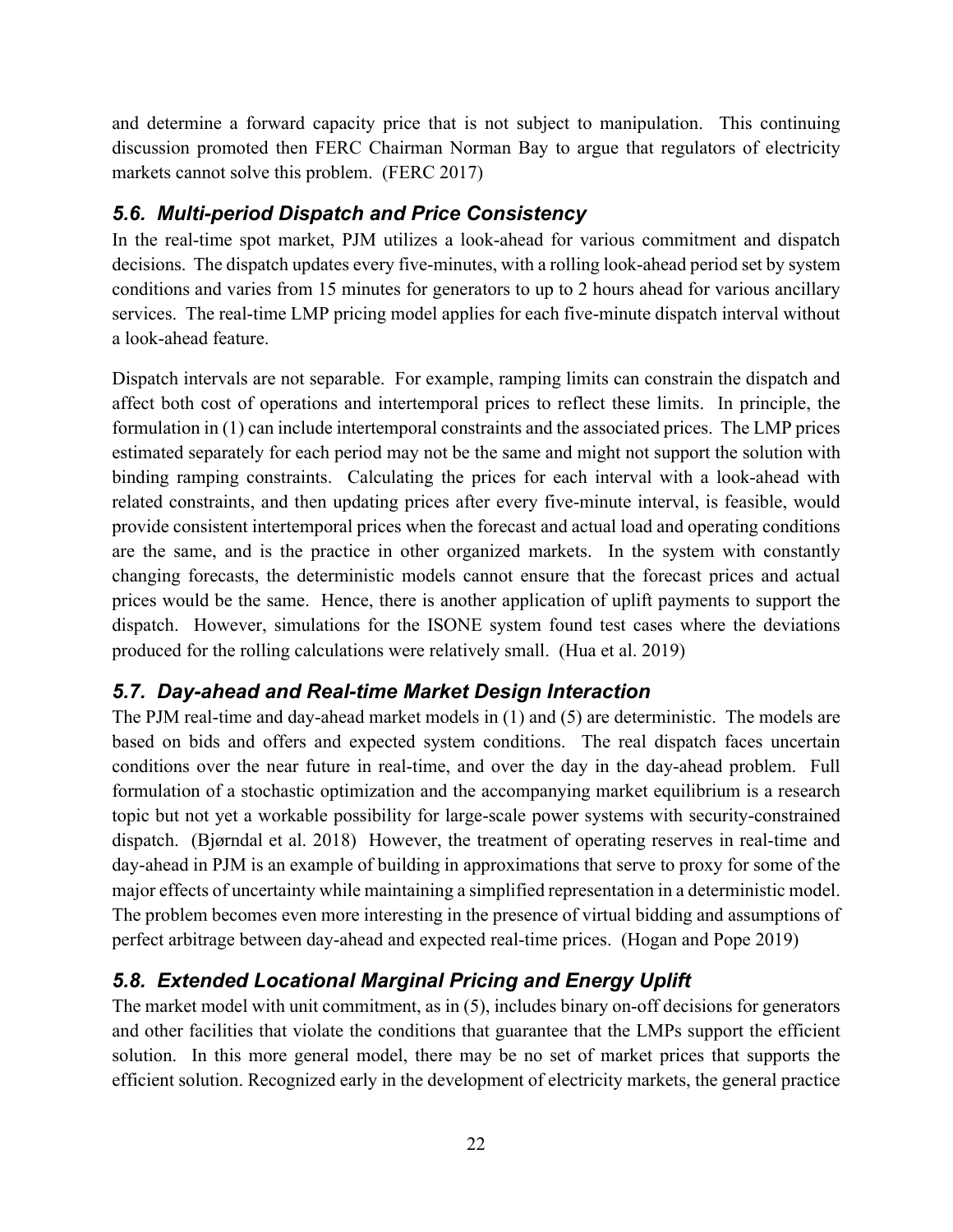and determine a forward capacity price that is not subject to manipulation. This continuing discussion promoted then FERC Chairman Norman Bay to argue that regulators of electricity markets cannot solve this problem. (FERC 2017)

### *5.6. Multi-period Dispatch and Price Consistency*

In the real-time spot market, PJM utilizes a look-ahead for various commitment and dispatch decisions. The dispatch updates every five-minutes, with a rolling look-ahead period set by system conditions and varies from 15 minutes for generators to up to 2 hours ahead for various ancillary services. The real-time LMP pricing model applies for each five-minute dispatch interval without a look-ahead feature.

Dispatch intervals are not separable. For example, ramping limits can constrain the dispatch and affect both cost of operations and intertemporal prices to reflect these limits. In principle, the formulation in (1) can include intertemporal constraints and the associated prices. The LMP prices estimated separately for each period may not be the same and might not support the solution with binding ramping constraints. Calculating the prices for each interval with a look-ahead with related constraints, and then updating prices after every five-minute interval, is feasible, would provide consistent intertemporal prices when the forecast and actual load and operating conditions are the same, and is the practice in other organized markets. In the system with constantly changing forecasts, the deterministic models cannot ensure that the forecast prices and actual prices would be the same. Hence, there is another application of uplift payments to support the dispatch. However, simulations for the ISONE system found test cases where the deviations produced for the rolling calculations were relatively small. (Hua et al. 2019)

### *5.7. Day-ahead and Real-time Market Design Interaction*

The PJM real-time and day-ahead market models in (1) and (5) are deterministic. The models are based on bids and offers and expected system conditions. The real dispatch faces uncertain conditions over the near future in real-time, and over the day in the day-ahead problem. Full formulation of a stochastic optimization and the accompanying market equilibrium is a research topic but not yet a workable possibility for large-scale power systems with security-constrained dispatch. (Bjørndal et al. 2018) However, the treatment of operating reserves in real-time and day-ahead in PJM is an example of building in approximations that serve to proxy for some of the major effects of uncertainty while maintaining a simplified representation in a deterministic model. The problem becomes even more interesting in the presence of virtual bidding and assumptions of perfect arbitrage between day-ahead and expected real-time prices. (Hogan and Pope 2019)

# *5.8. Extended Locational Marginal Pricing and Energy Uplift*

The market model with unit commitment, as in (5), includes binary on-off decisions for generators and other facilities that violate the conditions that guarantee that the LMPs support the efficient solution. In this more general model, there may be no set of market prices that supports the efficient solution. Recognized early in the development of electricity markets, the general practice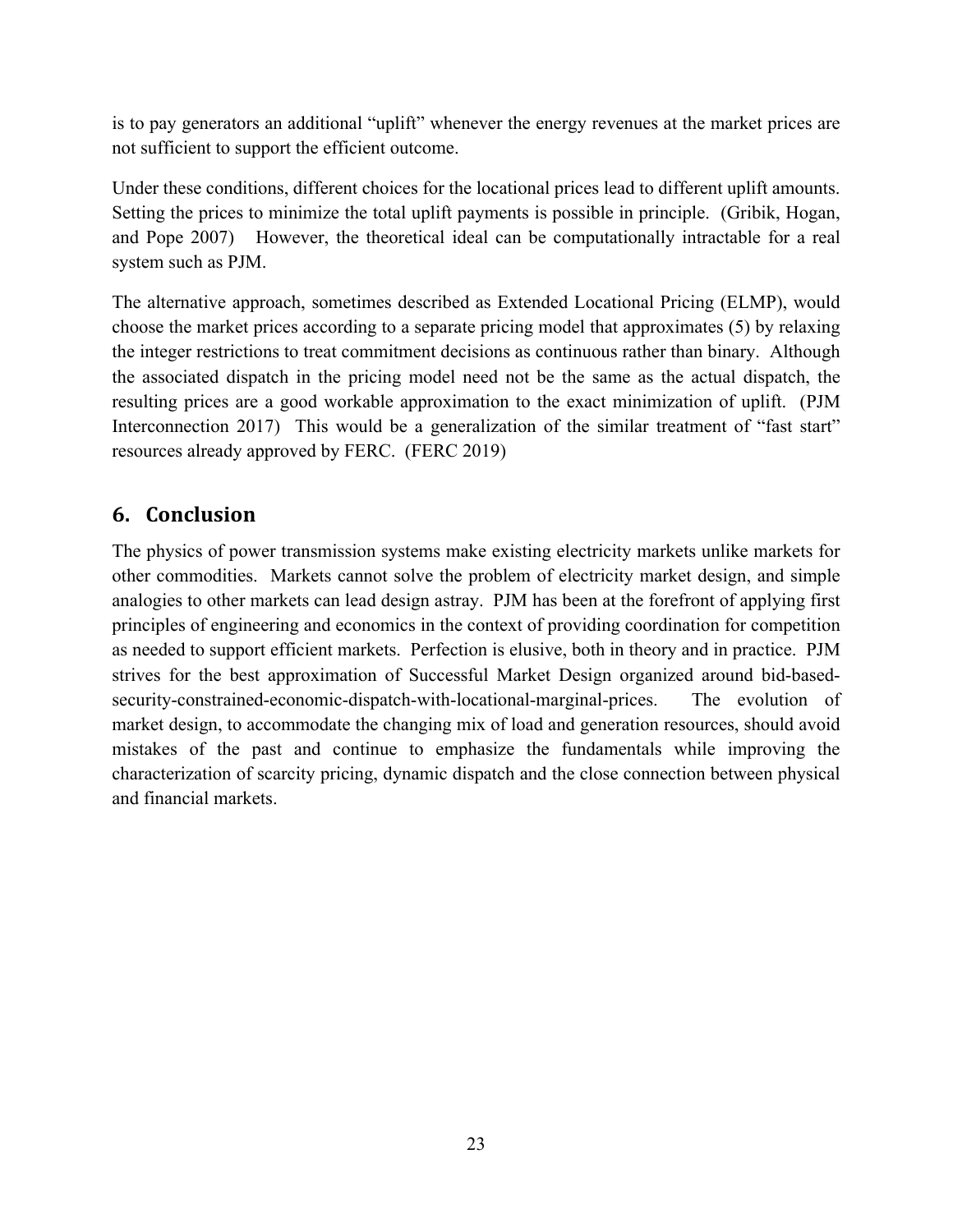is to pay generators an additional "uplift" whenever the energy revenues at the market prices are not sufficient to support the efficient outcome.

Under these conditions, different choices for the locational prices lead to different uplift amounts. Setting the prices to minimize the total uplift payments is possible in principle. (Gribik, Hogan, and Pope 2007) However, the theoretical ideal can be computationally intractable for a real system such as PJM.

The alternative approach, sometimes described as Extended Locational Pricing (ELMP), would choose the market prices according to a separate pricing model that approximates (5) by relaxing the integer restrictions to treat commitment decisions as continuous rather than binary. Although the associated dispatch in the pricing model need not be the same as the actual dispatch, the resulting prices are a good workable approximation to the exact minimization of uplift. (PJM Interconnection 2017) This would be a generalization of the similar treatment of "fast start" resources already approved by FERC. (FERC 2019)

# **6. Conclusion**

The physics of power transmission systems make existing electricity markets unlike markets for other commodities. Markets cannot solve the problem of electricity market design, and simple analogies to other markets can lead design astray. PJM has been at the forefront of applying first principles of engineering and economics in the context of providing coordination for competition as needed to support efficient markets. Perfection is elusive, both in theory and in practice. PJM strives for the best approximation of Successful Market Design organized around bid-basedsecurity-constrained-economic-dispatch-with-locational-marginal-prices. The evolution of market design, to accommodate the changing mix of load and generation resources, should avoid mistakes of the past and continue to emphasize the fundamentals while improving the characterization of scarcity pricing, dynamic dispatch and the close connection between physical and financial markets.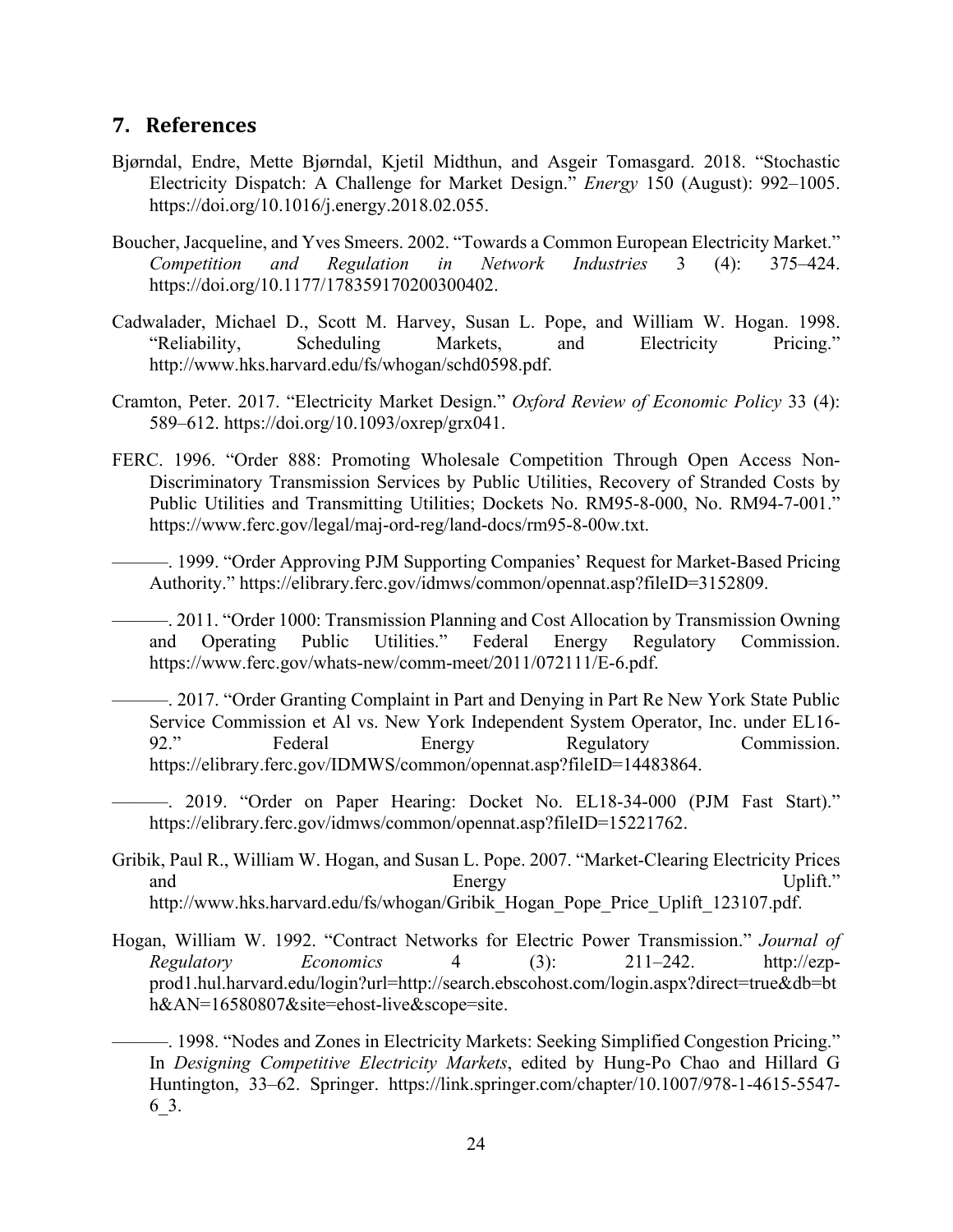#### **7. References**

- Bjørndal, Endre, Mette Bjørndal, Kjetil Midthun, and Asgeir Tomasgard. 2018. "Stochastic Electricity Dispatch: A Challenge for Market Design." *Energy* 150 (August): 992–1005. https://doi.org/10.1016/j.energy.2018.02.055.
- Boucher, Jacqueline, and Yves Smeers. 2002. "Towards a Common European Electricity Market." *Competition and Regulation in Network Industries* 3 (4): 375–424. https://doi.org/10.1177/178359170200300402.
- Cadwalader, Michael D., Scott M. Harvey, Susan L. Pope, and William W. Hogan. 1998. "Reliability, Scheduling Markets, and Electricity Pricing." http://www.hks.harvard.edu/fs/whogan/schd0598.pdf.
- Cramton, Peter. 2017. "Electricity Market Design." *Oxford Review of Economic Policy* 33 (4): 589–612. https://doi.org/10.1093/oxrep/grx041.
- FERC. 1996. "Order 888: Promoting Wholesale Competition Through Open Access Non-Discriminatory Transmission Services by Public Utilities, Recovery of Stranded Costs by Public Utilities and Transmitting Utilities; Dockets No. RM95-8-000, No. RM94-7-001." https://www.ferc.gov/legal/maj-ord-reg/land-docs/rm95-8-00w.txt.
	- ———. 1999. "Order Approving PJM Supporting Companies' Request for Market-Based Pricing Authority." https://elibrary.ferc.gov/idmws/common/opennat.asp?fileID=3152809.
	- ———. 2011. "Order 1000: Transmission Planning and Cost Allocation by Transmission Owning and Operating Public Utilities." Federal Energy Regulatory Commission. https://www.ferc.gov/whats-new/comm-meet/2011/072111/E-6.pdf.
	- ———. 2017. "Order Granting Complaint in Part and Denying in Part Re New York State Public Service Commission et Al vs. New York Independent System Operator, Inc. under EL16- 92." Federal Energy Regulatory Commission. https://elibrary.ferc.gov/IDMWS/common/opennat.asp?fileID=14483864.
	- ———. 2019. "Order on Paper Hearing: Docket No. EL18-34-000 (PJM Fast Start)." https://elibrary.ferc.gov/idmws/common/opennat.asp?fileID=15221762.
- Gribik, Paul R., William W. Hogan, and Susan L. Pope. 2007. "Market-Clearing Electricity Prices and Energy Energy Uplift." http://www.hks.harvard.edu/fs/whogan/Gribik\_Hogan\_Pope\_Price\_Uplift\_123107.pdf.
- Hogan, William W. 1992. "Contract Networks for Electric Power Transmission." *Journal of Regulatory Economics* 4 (3): 211–242. http://ezpprod1.hul.harvard.edu/login?url=http://search.ebscohost.com/login.aspx?direct=true&db=bt h&AN=16580807&site=ehost-live&scope=site.
- ———. 1998. "Nodes and Zones in Electricity Markets: Seeking Simplified Congestion Pricing." In *Designing Competitive Electricity Markets*, edited by Hung-Po Chao and Hillard G Huntington, 33–62. Springer. https://link.springer.com/chapter/10.1007/978-1-4615-5547- 6\_3.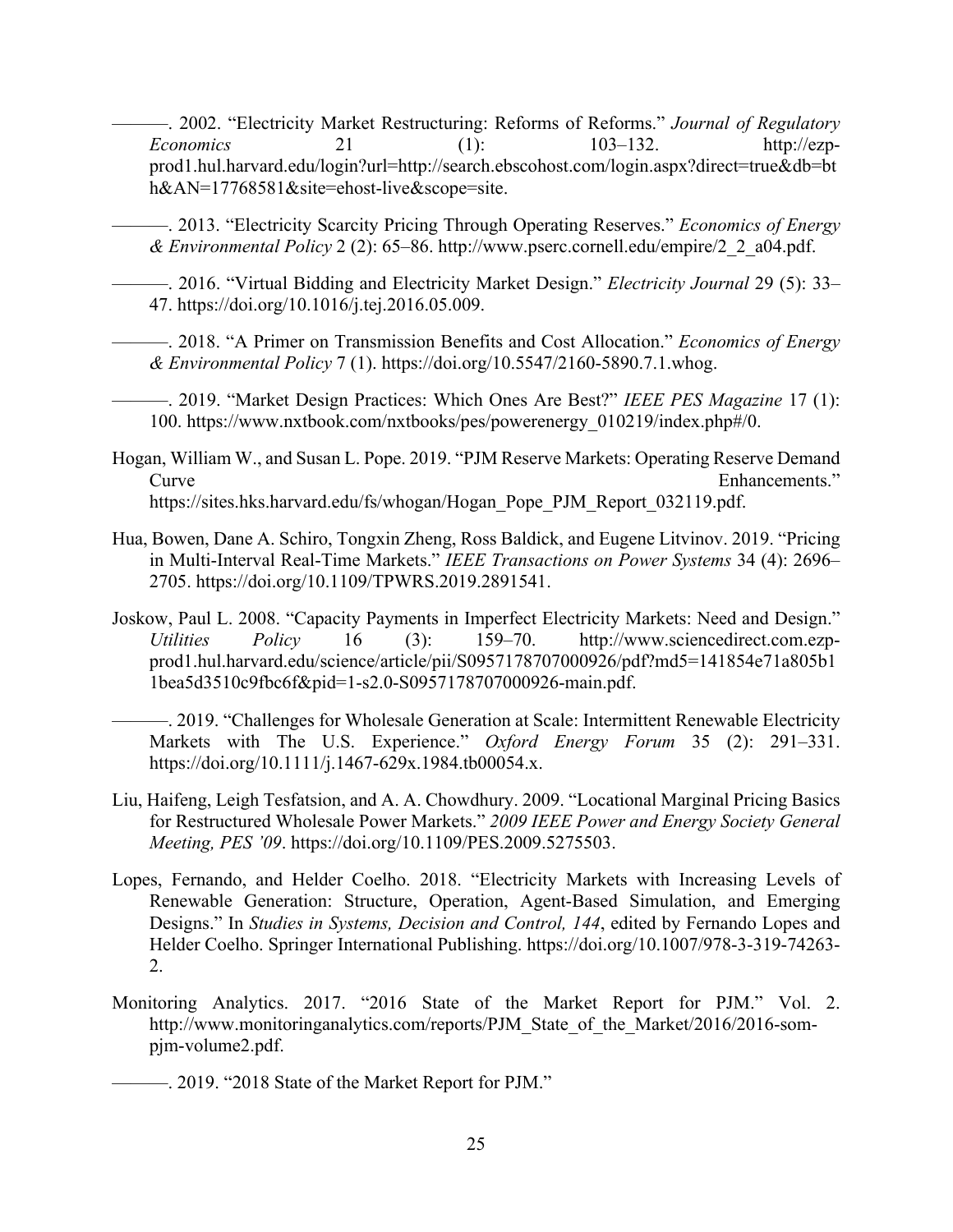- ———. 2002. "Electricity Market Restructuring: Reforms of Reforms." *Journal of Regulatory Economics* 21 (1): 103–132. http://ezpprod1.hul.harvard.edu/login?url=http://search.ebscohost.com/login.aspx?direct=true&db=bt h&AN=17768581&site=ehost-live&scope=site.
- ———. 2013. "Electricity Scarcity Pricing Through Operating Reserves." *Economics of Energy & Environmental Policy* 2 (2): 65–86. http://www.pserc.cornell.edu/empire/2\_2\_a04.pdf.
- ———. 2016. "Virtual Bidding and Electricity Market Design." *Electricity Journal* 29 (5): 33– 47. https://doi.org/10.1016/j.tej.2016.05.009.
- ———. 2018. "A Primer on Transmission Benefits and Cost Allocation." *Economics of Energy & Environmental Policy* 7 (1). https://doi.org/10.5547/2160-5890.7.1.whog.
- ———. 2019. "Market Design Practices: Which Ones Are Best?" *IEEE PES Magazine* 17 (1): 100. https://www.nxtbook.com/nxtbooks/pes/powerenergy\_010219/index.php#/0.
- Hogan, William W., and Susan L. Pope. 2019. "PJM Reserve Markets: Operating Reserve Demand Curve Enhancements." https://sites.hks.harvard.edu/fs/whogan/Hogan\_Pope\_PJM\_Report\_032119.pdf.
- Hua, Bowen, Dane A. Schiro, Tongxin Zheng, Ross Baldick, and Eugene Litvinov. 2019. "Pricing in Multi-Interval Real-Time Markets." *IEEE Transactions on Power Systems* 34 (4): 2696– 2705. https://doi.org/10.1109/TPWRS.2019.2891541.
- Joskow, Paul L. 2008. "Capacity Payments in Imperfect Electricity Markets: Need and Design." *Utilities Policy* 16 (3): 159–70. http://www.sciencedirect.com.ezpprod1.hul.harvard.edu/science/article/pii/S0957178707000926/pdf?md5=141854e71a805b1 1bea5d3510c9fbc6f&pid=1-s2.0-S0957178707000926-main.pdf.
	- ———. 2019. "Challenges for Wholesale Generation at Scale: Intermittent Renewable Electricity Markets with The U.S. Experience." *Oxford Energy Forum* 35 (2): 291–331. https://doi.org/10.1111/j.1467-629x.1984.tb00054.x.
- Liu, Haifeng, Leigh Tesfatsion, and A. A. Chowdhury. 2009. "Locational Marginal Pricing Basics for Restructured Wholesale Power Markets." *2009 IEEE Power and Energy Society General Meeting, PES '09*. https://doi.org/10.1109/PES.2009.5275503.
- Lopes, Fernando, and Helder Coelho. 2018. "Electricity Markets with Increasing Levels of Renewable Generation: Structure, Operation, Agent-Based Simulation, and Emerging Designs." In *Studies in Systems, Decision and Control, 144*, edited by Fernando Lopes and Helder Coelho. Springer International Publishing. https://doi.org/10.1007/978-3-319-74263- 2.
- Monitoring Analytics. 2017. "2016 State of the Market Report for PJM." Vol. 2. http://www.monitoringanalytics.com/reports/PJM\_State\_of\_the\_Market/2016/2016-sompjm-volume2.pdf.

———. 2019. "2018 State of the Market Report for PJM."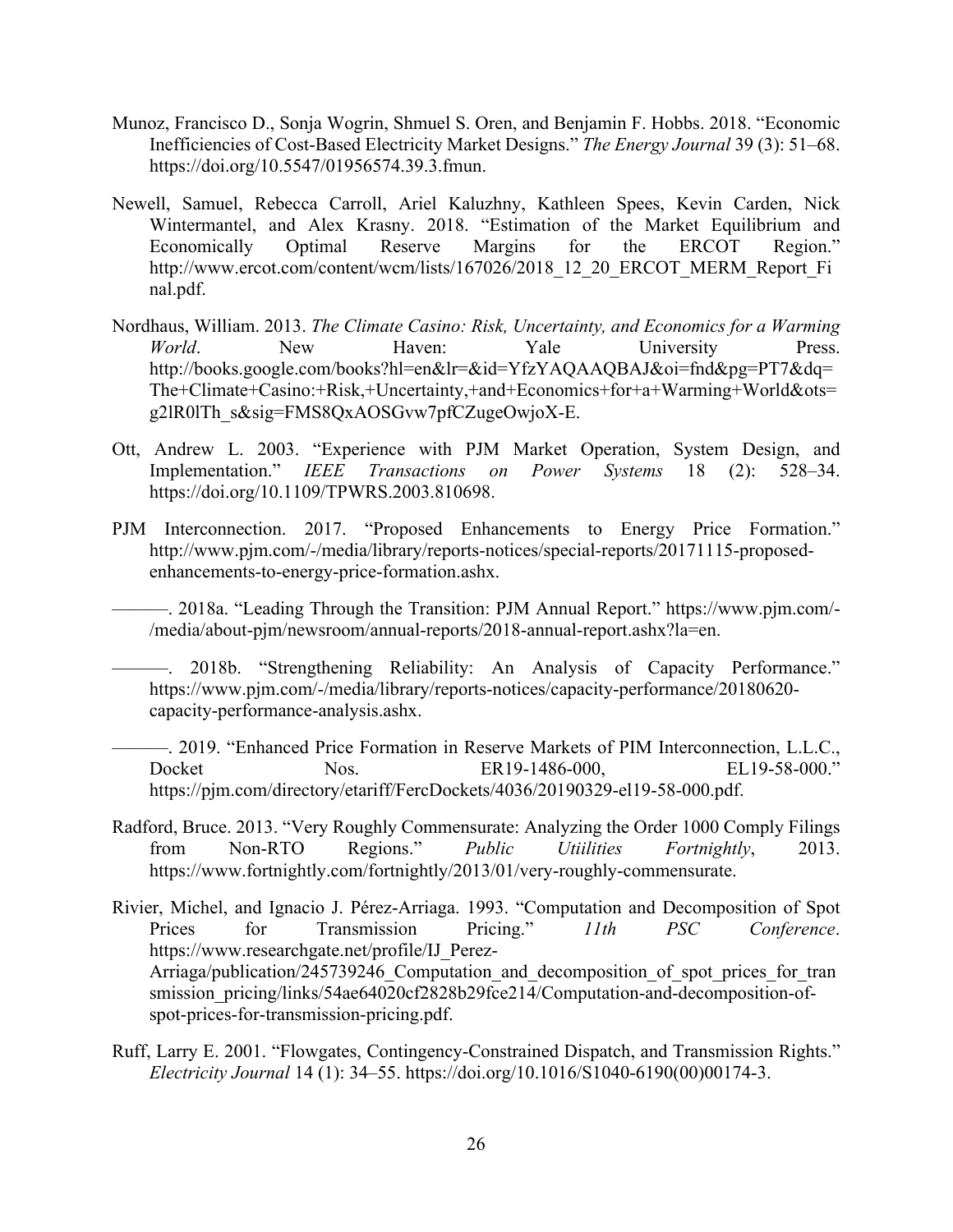- Munoz, Francisco D., Sonja Wogrin, Shmuel S. Oren, and Benjamin F. Hobbs. 2018. "Economic Inefficiencies of Cost-Based Electricity Market Designs." *The Energy Journal* 39 (3): 51–68. https://doi.org/10.5547/01956574.39.3.fmun.
- Newell, Samuel, Rebecca Carroll, Ariel Kaluzhny, Kathleen Spees, Kevin Carden, Nick Wintermantel, and Alex Krasny. 2018. "Estimation of the Market Equilibrium and Economically Optimal Reserve Margins for the ERCOT Region." http://www.ercot.com/content/wcm/lists/167026/2018 12 20 ERCOT MERM Report Fi nal.pdf.
- Nordhaus, William. 2013. *The Climate Casino: Risk, Uncertainty, and Economics for a Warming*  World. New Haven: Yale University Press. http://books.google.com/books?hl=en&lr=&id=YfzYAQAAQBAJ&oi=fnd&pg=PT7&dq= The+Climate+Casino:+Risk,+Uncertainty,+and+Economics+for+a+Warming+World&ots= g2lR0lTh\_s&sig=FMS8QxAOSGvw7pfCZugeOwjoX-E.
- Ott, Andrew L. 2003. "Experience with PJM Market Operation, System Design, and Implementation." *IEEE Transactions on Power Systems* 18 (2): 528–34. https://doi.org/10.1109/TPWRS.2003.810698.
- PJM Interconnection. 2017. "Proposed Enhancements to Energy Price Formation." http://www.pjm.com/-/media/library/reports-notices/special-reports/20171115-proposedenhancements-to-energy-price-formation.ashx.

———. 2018a. "Leading Through the Transition: PJM Annual Report." https://www.pjm.com/- /media/about-pjm/newsroom/annual-reports/2018-annual-report.ashx?la=en.

———. 2018b. "Strengthening Reliability: An Analysis of Capacity Performance." https://www.pjm.com/-/media/library/reports-notices/capacity-performance/20180620 capacity-performance-analysis.ashx.

———. 2019. "Enhanced Price Formation in Reserve Markets of PIM Interconnection, L.L.C., Docket Nos. ER19-1486-000, EL19-58-000." https://pjm.com/directory/etariff/FercDockets/4036/20190329-el19-58-000.pdf.

- Radford, Bruce. 2013. "Very Roughly Commensurate: Analyzing the Order 1000 Comply Filings from Non-RTO Regions." *Public Utiilities Fortnightly*, 2013. https://www.fortnightly.com/fortnightly/2013/01/very-roughly-commensurate.
- Rivier, Michel, and Ignacio J. Pérez-Arriaga. 1993. "Computation and Decomposition of Spot Prices for Transmission Pricing." *11th PSC Conference*. https://www.researchgate.net/profile/IJ\_Perez-Arriaga/publication/245739246 Computation and decomposition of spot prices for tran smission\_pricing/links/54ae64020cf2828b29fce214/Computation-and-decomposition-ofspot-prices-for-transmission-pricing.pdf.
- Ruff, Larry E. 2001. "Flowgates, Contingency-Constrained Dispatch, and Transmission Rights." *Electricity Journal* 14 (1): 34–55. https://doi.org/10.1016/S1040-6190(00)00174-3.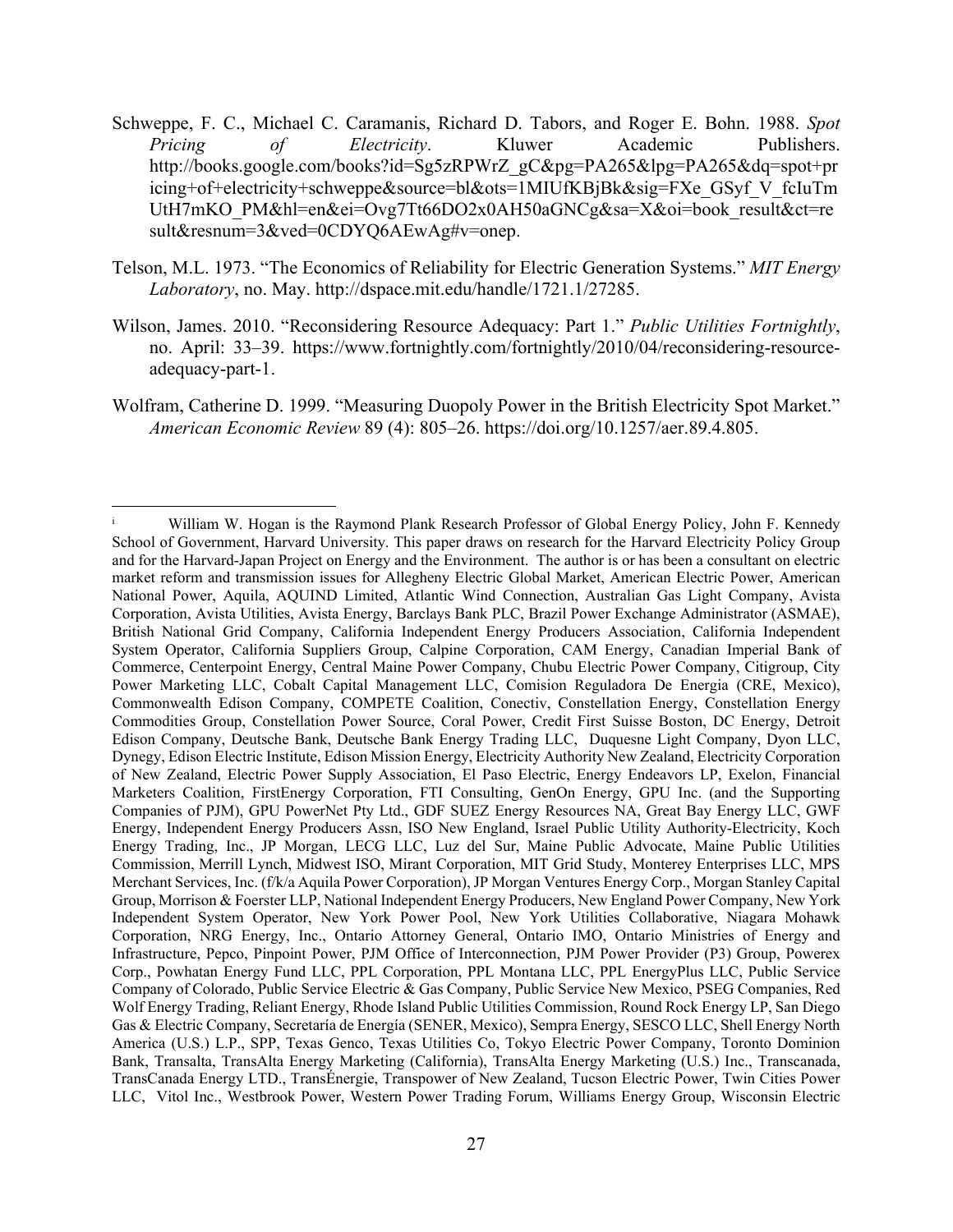- Schweppe, F. C., Michael C. Caramanis, Richard D. Tabors, and Roger E. Bohn. 1988. *Spot Pricing of Electricity*. Kluwer Academic Publishers. http://books.google.com/books?id=Sg5zRPWrZ\_gC&pg=PA265&lpg=PA265&dq=spot+pr icing+of+electricity+schweppe&source=bl&ots=1MIUfKBjBk&sig=FXe\_GSyf\_V\_fcIuTm UtH7mKO\_PM&hl=en&ei=Ovg7Tt66DO2x0AH50aGNCg&sa=X&oi=book\_result&ct=re sult&resnum=3&ved=0CDYQ6AEwAg#v=onep.
- Telson, M.L. 1973. "The Economics of Reliability for Electric Generation Systems." *MIT Energy Laboratory*, no. May. http://dspace.mit.edu/handle/1721.1/27285.
- Wilson, James. 2010. "Reconsidering Resource Adequacy: Part 1." *Public Utilities Fortnightly*, no. April: 33–39. https://www.fortnightly.com/fortnightly/2010/04/reconsidering-resourceadequacy-part-1.
- Wolfram, Catherine D. 1999. "Measuring Duopoly Power in the British Electricity Spot Market." *American Economic Review* 89 (4): 805–26. https://doi.org/10.1257/aer.89.4.805.

i William W. Hogan is the Raymond Plank Research Professor of Global Energy Policy, John F. Kennedy School of Government, Harvard University. This paper draws on research for the Harvard Electricity Policy Group and for the Harvard-Japan Project on Energy and the Environment. The author is or has been a consultant on electric market reform and transmission issues for Allegheny Electric Global Market, American Electric Power, American National Power, Aquila, AQUIND Limited, Atlantic Wind Connection, Australian Gas Light Company, Avista Corporation, Avista Utilities, Avista Energy, Barclays Bank PLC, Brazil Power Exchange Administrator (ASMAE), British National Grid Company, California Independent Energy Producers Association, California Independent System Operator, California Suppliers Group, Calpine Corporation, CAM Energy, Canadian Imperial Bank of Commerce, Centerpoint Energy, Central Maine Power Company, Chubu Electric Power Company, Citigroup, City Power Marketing LLC, Cobalt Capital Management LLC, Comision Reguladora De Energia (CRE, Mexico), Commonwealth Edison Company, COMPETE Coalition, Conectiv, Constellation Energy, Constellation Energy Commodities Group, Constellation Power Source, Coral Power, Credit First Suisse Boston, DC Energy, Detroit Edison Company, Deutsche Bank, Deutsche Bank Energy Trading LLC, Duquesne Light Company, Dyon LLC, Dynegy, Edison Electric Institute, Edison Mission Energy, Electricity Authority New Zealand, Electricity Corporation of New Zealand, Electric Power Supply Association, El Paso Electric, Energy Endeavors LP, Exelon, Financial Marketers Coalition, FirstEnergy Corporation, FTI Consulting, GenOn Energy, GPU Inc. (and the Supporting Companies of PJM), GPU PowerNet Pty Ltd., GDF SUEZ Energy Resources NA, Great Bay Energy LLC, GWF Energy, Independent Energy Producers Assn, ISO New England, Israel Public Utility Authority-Electricity, Koch Energy Trading, Inc., JP Morgan, LECG LLC, Luz del Sur, Maine Public Advocate, Maine Public Utilities Commission, Merrill Lynch, Midwest ISO, Mirant Corporation, MIT Grid Study, Monterey Enterprises LLC, MPS Merchant Services, Inc. (f/k/a Aquila Power Corporation), JP Morgan Ventures Energy Corp., Morgan Stanley Capital Group, Morrison & Foerster LLP, National Independent Energy Producers, New England Power Company, New York Independent System Operator, New York Power Pool, New York Utilities Collaborative, Niagara Mohawk Corporation, NRG Energy, Inc., Ontario Attorney General, Ontario IMO, Ontario Ministries of Energy and Infrastructure, Pepco, Pinpoint Power, PJM Office of Interconnection, PJM Power Provider (P3) Group, Powerex Corp., Powhatan Energy Fund LLC, PPL Corporation, PPL Montana LLC, PPL EnergyPlus LLC, Public Service Company of Colorado, Public Service Electric & Gas Company, Public Service New Mexico, PSEG Companies, Red Wolf Energy Trading, Reliant Energy, Rhode Island Public Utilities Commission, Round Rock Energy LP, San Diego Gas & Electric Company, Secretaría de Energía (SENER, Mexico), Sempra Energy, SESCO LLC, Shell Energy North America (U.S.) L.P., SPP, Texas Genco, Texas Utilities Co, Tokyo Electric Power Company, Toronto Dominion Bank, Transalta, TransAlta Energy Marketing (California), TransAlta Energy Marketing (U.S.) Inc., Transcanada, TransCanada Energy LTD., TransÉnergie, Transpower of New Zealand, Tucson Electric Power, Twin Cities Power LLC, Vitol Inc., Westbrook Power, Western Power Trading Forum, Williams Energy Group, Wisconsin Electric